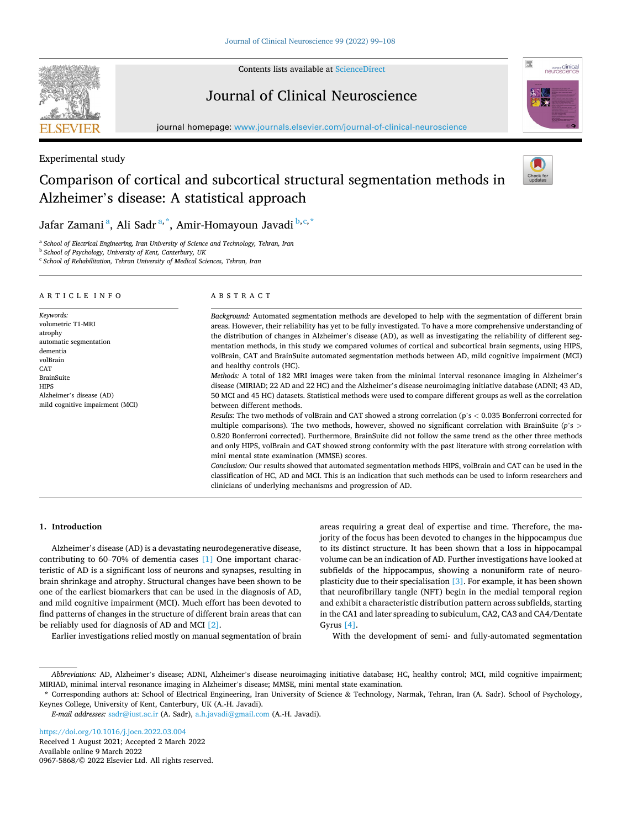

Contents lists available at [ScienceDirect](www.sciencedirect.com/science/journal/09675868)

# Journal of Clinical Neuroscience



journal homepage: [www.journals.elsevier.com/journal-of-clinical-neuroscience](https://www.journals.elsevier.com/journal-of-clinical-neuroscience)

# Experimental study

# Comparison of cortical and subcortical structural segmentation methods in Alzheimer's disease: A statistical approach



Jafar Zamani<sup>a</sup>, Ali Sadr<sup>a,\*</sup>, Amir-Homayoun Javadi <sup>b,c,\*</sup>

<sup>a</sup> School of Electrical Engineering, Iran University of Science and Technology, Tehran, Iran

<sup>b</sup> *School of Psychology, University of Kent, Canterbury, UK* 

<sup>c</sup> *School of Rehabilitation, Tehran University of Medical Sciences, Tehran, Iran* 

#### ARTICLE INFO

automatic segmentation

Alzheimer's disease (AD) mild cognitive impairment (MCI)

*Keywords:*  volumetric T1-MRI atrophy

dementia volBrain **CAT** BrainSuite **HIPS** 

ABSTRACT

*Background:* Automated segmentation methods are developed to help with the segmentation of different brain areas. However, their reliability has yet to be fully investigated. To have a more comprehensive understanding of the distribution of changes in Alzheimer's disease (AD), as well as investigating the reliability of different segmentation methods, in this study we compared volumes of cortical and subcortical brain segments, using HIPS, volBrain, CAT and BrainSuite automated segmentation methods between AD, mild cognitive impairment (MCI) and healthy controls (HC).

*Methods:* A total of 182 MRI images were taken from the minimal interval resonance imaging in Alzheimer's disease (MIRIAD; 22 AD and 22 HC) and the Alzheimer's disease neuroimaging initiative database (ADNI; 43 AD, 50 MCI and 45 HC) datasets. Statistical methods were used to compare different groups as well as the correlation between different methods.

*Results:* The two methods of volBrain and CAT showed a strong correlation (p's *<* 0.035 Bonferroni corrected for multiple comparisons). The two methods, however, showed no significant correlation with BrainSuite (*p*'s *>* 0.820 Bonferroni corrected). Furthermore, BrainSuite did not follow the same trend as the other three methods and only HIPS, volBrain and CAT showed strong conformity with the past literature with strong correlation with mini mental state examination (MMSE) scores.

*Conclusion:* Our results showed that automated segmentation methods HIPS, volBrain and CAT can be used in the classification of HC, AD and MCI. This is an indication that such methods can be used to inform researchers and clinicians of underlying mechanisms and progression of AD.

# **1. Introduction**

Alzheimer's disease (AD) is a devastating neurodegenerative disease, contributing to 60–70% of dementia cases [\[1\]](#page-8-0) One important characteristic of AD is a significant loss of neurons and synapses, resulting in brain shrinkage and atrophy. Structural changes have been shown to be one of the earliest biomarkers that can be used in the diagnosis of AD, and mild cognitive impairment (MCI). Much effort has been devoted to find patterns of changes in the structure of different brain areas that can be reliably used for diagnosis of AD and MCI [\[2\].](#page-8-0)

Earlier investigations relied mostly on manual segmentation of brain

areas requiring a great deal of expertise and time. Therefore, the majority of the focus has been devoted to changes in the hippocampus due to its distinct structure. It has been shown that a loss in hippocampal volume can be an indication of AD. Further investigations have looked at subfields of the hippocampus, showing a nonuniform rate of neuroplasticity due to their specialisation [\[3\].](#page-8-0) For example, it has been shown that neurofibrillary tangle (NFT) begin in the medial temporal region and exhibit a characteristic distribution pattern across subfields, starting in the CA1 and later spreading to subiculum, CA2, CA3 and CA4/Dentate Gyrus [\[4\].](#page-8-0)

With the development of semi- and fully-automated segmentation

Available online 9 March 2022 0967-5868/© 2022 Elsevier Ltd. All rights reserved. <https://doi.org/10.1016/j.jocn.2022.03.004> Received 1 August 2021; Accepted 2 March 2022

*Abbreviations:* AD, Alzheimer's disease; ADNI, Alzheimer's disease neuroimaging initiative database; HC, healthy control; MCI, mild cognitive impairment; MIRIAD, minimal interval resonance imaging in Alzheimer's disease; MMSE, mini mental state examination.

<sup>\*</sup> Corresponding authors at: School of Electrical Engineering, Iran University of Science & Technology, Narmak, Tehran, Iran (A. Sadr). School of Psychology, Keynes College, University of Kent, Canterbury, UK (A.-H. Javadi).

*E-mail addresses:* [sadr@iust.ac.ir](mailto:sadr@iust.ac.ir) (A. Sadr), [a.h.javadi@gmail.com](mailto:a.h.javadi@gmail.com) (A.-H. Javadi).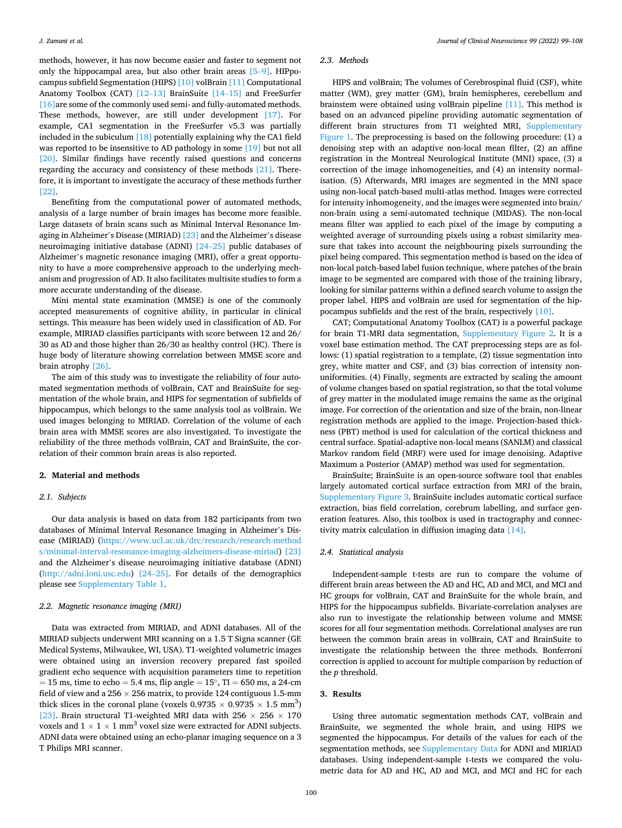methods, however, it has now become easier and faster to segment not only the hippocampal area, but also other brain areas [5–[9\].](#page-8-0) HIPpocampus subfield Segmentation (HIPS) [\[10\]](#page-9-0) volBrain [\[11\]](#page-9-0) Computational Anatomy Toolbox (CAT) [\[12](#page-9-0)–13] BrainSuite [14–[15\]](#page-9-0) and FreeSurfer [\[16\]](#page-9-0) are some of the commonly used semi- and fully-automated methods. These methods, however, are still under development [\[17\].](#page-9-0) For example, CA1 segmentation in the FreeSurfer v5.3 was partially included in the subiculum [\[18\]](#page-9-0) potentially explaining why the CA1 field was reported to be insensitive to AD pathology in some [\[19\]](#page-9-0) but not all [\[20\]](#page-9-0). Similar findings have recently raised questions and concerns regarding the accuracy and consistency of these methods [\[21\].](#page-9-0) Therefore, it is important to investigate the accuracy of these methods further [\[22\]](#page-9-0).

Benefiting from the computational power of automated methods, analysis of a large number of brain images has become more feasible. Large datasets of brain scans such as Minimal Interval Resonance Imaging in Alzheimer's Disease (MIRIAD) [\[23\]](#page-9-0) and the Alzheimer's disease neuroimaging initiative database (ADNI) [\[24](#page-9-0)–25] public databases of Alzheimer's magnetic resonance imaging (MRI), offer a great opportunity to have a more comprehensive approach to the underlying mechanism and progression of AD. It also facilitates multisite studies to form a more accurate understanding of the disease.

Mini mental state examination (MMSE) is one of the commonly accepted measurements of cognitive ability, in particular in clinical settings. This measure has been widely used in classification of AD. For example, MIRIAD classifies participants with score between 12 and 26/ 30 as AD and those higher than 26/30 as healthy control (HC). There is huge body of literature showing correlation between MMSE score and brain atrophy [\[26\]](#page-9-0).

The aim of this study was to investigate the reliability of four automated segmentation methods of volBrain, CAT and BrainSuite for segmentation of the whole brain, and HIPS for segmentation of subfields of hippocampus, which belongs to the same analysis tool as volBrain. We used images belonging to MIRIAD. Correlation of the volume of each brain area with MMSE scores are also investigated. To investigate the reliability of the three methods volBrain, CAT and BrainSuite, the correlation of their common brain areas is also reported.

#### **2. Material and methods**

### *2.1. Subjects*

Our data analysis is based on data from 182 participants from two databases of Minimal Interval Resonance Imaging in Alzheimer's Disease (MIRIAD) ([https://www.ucl.ac.uk/drc/research/research-method](https://www.ucl.ac.uk/drc/research/research-methods/minimal-interval-resonance-imaging-alzheimers-disease-miriad)  [s/minimal-interval-resonance-imaging-alzheimers-disease-miriad\)](https://www.ucl.ac.uk/drc/research/research-methods/minimal-interval-resonance-imaging-alzheimers-disease-miriad) [\[23\]](#page-9-0)  and the Alzheimer's disease neuroimaging initiative database (ADNI) (<http://adni.loni.usc.edu>) [\[24](#page-9-0)–25]. For details of the demographics please see Supplementary Table 1.

#### *2.2. Magnetic resonance imaging (MRI)*

Data was extracted from MIRIAD, and ADNI databases. All of the MIRIAD subjects underwent MRI scanning on a 1.5 T Signa scanner (GE Medical Systems, Milwaukee, WI, USA). T1-weighted volumetric images were obtained using an inversion recovery prepared fast spoiled gradient echo sequence with acquisition parameters time to repetition  $= 15$  ms, time to echo  $= 5.4$  ms, flip angle  $= 15^{\circ}$ , TI  $= 650$  ms, a 24-cm field of view and a  $256 \times 256$  matrix, to provide 124 contiguous 1.5-mm thick slices in the coronal plane (voxels  $0.9735 \times 0.9735 \times 1.5$  mm<sup>3</sup>) [\[23\]](#page-9-0). Brain structural T1-weighted MRI data with 256  $\times$  256  $\times$  170 voxels and  $1 \times 1 \times 1$  mm<sup>3</sup> voxel size were extracted for ADNI subjects. ADNI data were obtained using an echo-planar imaging sequence on a 3 T Philips MRI scanner.

#### *2.3. Methods*

HIPS and volBrain; The volumes of Cerebrospinal fluid (CSF), white matter (WM), grey matter (GM), brain hemispheres, cerebellum and brainstem were obtained using volBrain pipeline [\[11\].](#page-9-0) This method is based on an advanced pipeline providing automatic segmentation of different brain structures from T1 weighted MRI, Supplementary Figure 1. The preprocessing is based on the following procedure: (1) a denoising step with an adaptive non-local mean filter, (2) an affine registration in the Montreal Neurological Institute (MNI) space, (3) a correction of the image inhomogeneities, and (4) an intensity normalisation. (5) Afterwards, MRI images are segmented in the MNI space using non-local patch-based multi-atlas method. Images were corrected for intensity inhomogeneity, and the images were segmented into brain/ non-brain using a semi-automated technique (MIDAS). The non-local means filter was applied to each pixel of the image by computing a weighted average of surrounding pixels using a robust similarity measure that takes into account the neighbouring pixels surrounding the pixel being compared. This segmentation method is based on the idea of non-local patch-based label fusion technique, where patches of the brain image to be segmented are compared with those of the training library, looking for similar patterns within a defined search volume to assign the proper label. HIPS and volBrain are used for segmentation of the hippocampus subfields and the rest of the brain, respectively [\[10\].](#page-9-0)

CAT; Computational Anatomy Toolbox (CAT) is a powerful package for brain T1-MRI data segmentation, Supplementary Figure 2. It is a voxel base estimation method. The CAT preprocessing steps are as follows: (1) spatial registration to a template, (2) tissue segmentation into grey, white matter and CSF, and (3) bias correction of intensity nonuniformities. (4) Finally, segments are extracted by scaling the amount of volume changes based on spatial registration, so that the total volume of grey matter in the modulated image remains the same as the original image. For correction of the orientation and size of the brain, non-linear registration methods are applied to the image. Projection-based thickness (PBT) method is used for calculation of the cortical thickness and central surface. Spatial-adaptive non-local means (SANLM) and classical Markov random field (MRF) were used for image denoising. Adaptive Maximum a Posterior (AMAP) method was used for segmentation.

BrainSuite; BrainSuite is an open-source software tool that enables largely automated cortical surface extraction from MRI of the brain, Supplementary Figure 3. BrainSuite includes automatic cortical surface extraction, bias field correlation, cerebrum labelling, and surface generation features. Also, this toolbox is used in tractography and connectivity matrix calculation in diffusion imaging data [\[14\].](#page-9-0)

# *2.4. Statistical analysis*

Independent-sample t-tests are run to compare the volume of different brain areas between the AD and HC, AD and MCI, and MCI and HC groups for volBrain, CAT and BrainSuite for the whole brain, and HIPS for the hippocampus subfields. Bivariate-correlation analyses are also run to investigate the relationship between volume and MMSE scores for all four segmentation methods. Correlational analyses are run between the common brain areas in volBrain, CAT and BrainSuite to investigate the relationship between the three methods. Bonferroni correction is applied to account for multiple comparison by reduction of the *p* threshold.

#### **3. Results**

Using three automatic segmentation methods CAT, volBrain and BrainSuite, we segmented the whole brain, and using HIPS we segmented the hippocampus. For details of the values for each of the segmentation methods, see Supplementary Data for ADNI and MIRIAD databases. Using independent-sample t-tests we compared the volumetric data for AD and HC, AD and MCI, and MCI and HC for each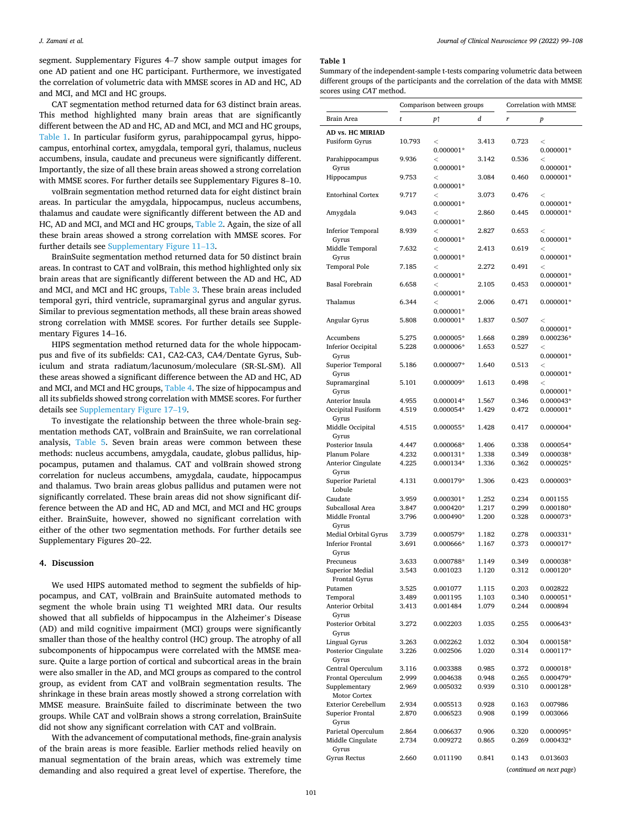segment. Supplementary Figures 4–7 show sample output images for one AD patient and one HC participant. Furthermore, we investigated the correlation of volumetric data with MMSE scores in AD and HC, AD and MCI, and MCI and HC groups.

CAT segmentation method returned data for 63 distinct brain areas. This method highlighted many brain areas that are significantly different between the AD and HC, AD and MCI, and MCI and HC groups, Table 1. In particular fusiform gyrus, parahippocampal gyrus, hippocampus, entorhinal cortex, amygdala, temporal gyri, thalamus, nucleus accumbens, insula, caudate and precuneus were significantly different. Importantly, the size of all these brain areas showed a strong correlation with MMSE scores. For further details see Supplementary Figures 8–10.

volBrain segmentation method returned data for eight distinct brain areas. In particular the amygdala, hippocampus, nucleus accumbens, thalamus and caudate were significantly different between the AD and HC, AD and MCI, and MCI and HC groups, [Table 2.](#page-5-0) Again, the size of all these brain areas showed a strong correlation with MMSE scores. For further details see Supplementary Figure 11–13.

BrainSuite segmentation method returned data for 50 distinct brain areas. In contrast to CAT and volBrain, this method highlighted only six brain areas that are significantly different between the AD and HC, AD and MCI, and MCI and HC groups, [Table 3.](#page-6-0) These brain areas included temporal gyri, third ventricle, supramarginal gyrus and angular gyrus. Similar to previous segmentation methods, all these brain areas showed strong correlation with MMSE scores. For further details see Supplementary Figures 14–16.

HIPS segmentation method returned data for the whole hippocampus and five of its subfields: CA1, CA2-CA3, CA4/Dentate Gyrus, Subiculum and strata radiatum/lacunosum/moleculare (SR-SL-SM). All these areas showed a significant difference between the AD and HC, AD and MCI, and MCI and HC groups, [Table 4.](#page-7-0) The size of hippocampus and all its subfields showed strong correlation with MMSE scores. For further details see Supplementary Figure 17–19.

To investigate the relationship between the three whole-brain segmentation methods CAT, volBrain and BrainSuite, we ran correlational analysis, [Table 5](#page-7-0). Seven brain areas were common between these methods: nucleus accumbens, amygdala, caudate, globus pallidus, hippocampus, putamen and thalamus. CAT and volBrain showed strong correlation for nucleus accumbens, amygdala, caudate, hippocampus and thalamus. Two brain areas globus pallidus and putamen were not significantly correlated. These brain areas did not show significant difference between the AD and HC, AD and MCI, and MCI and HC groups either. BrainSuite, however, showed no significant correlation with either of the other two segmentation methods. For further details see Supplementary Figures 20–22.

#### **4. Discussion**

We used HIPS automated method to segment the subfields of hippocampus, and CAT, volBrain and BrainSuite automated methods to segment the whole brain using T1 weighted MRI data. Our results showed that all subfields of hippocampus in the Alzheimer's Disease (AD) and mild cognitive impairment (MCI) groups were significantly smaller than those of the healthy control (HC) group. The atrophy of all subcomponents of hippocampus were correlated with the MMSE measure. Quite a large portion of cortical and subcortical areas in the brain were also smaller in the AD, and MCI groups as compared to the control group, as evident from CAT and volBrain segmentation results. The shrinkage in these brain areas mostly showed a strong correlation with MMSE measure. BrainSuite failed to discriminate between the two groups. While CAT and volBrain shows a strong correlation, BrainSuite did not show any significant correlation with CAT and volBrain.

With the advancement of computational methods, fine-grain analysis of the brain areas is more feasible. Earlier methods relied heavily on manual segmentation of the brain areas, which was extremely time demanding and also required a great level of expertise. Therefore, the

#### **Table 1**

Summary of the independent-sample t-tests comparing volumetric data between different groups of the participants and the correlation of the data with MMSE scores using *CAT* method.

|                                                | Comparison between groups |                            |                | Correlation with MMSE |                          |  |
|------------------------------------------------|---------------------------|----------------------------|----------------|-----------------------|--------------------------|--|
| Brain Area                                     | t                         | p↑                         | d              | r                     | $\boldsymbol{p}$         |  |
| AD vs. HC MIRIAD                               |                           |                            |                |                       |                          |  |
| Fusiform Gyrus                                 | 10.793                    | $\,<$                      | 3.413          | 0.723                 | $\,<$                    |  |
| Parahippocampus                                | 9.936                     | $0.000001*$<br>$\,<$       | 3.142          | 0.536                 | $0.000001*$<br>$\,<$     |  |
| Gyrus                                          |                           | $0.000001*$                |                |                       | $0.000001*$              |  |
| Hippocampus                                    | 9.753                     | $\,<$                      | 3.084          | 0.460                 | $0.000001*$              |  |
| <b>Entorhinal Cortex</b>                       | 9.717                     | $0.000001*$<br>$\,<$       | 3.073          | 0.476                 | $\,<$                    |  |
|                                                |                           | $0.000001*$                |                |                       | $0.000001*$              |  |
| Amygdala                                       | 9.043                     | $\,<$                      | 2.860          | 0.445                 | $0.000001*$              |  |
|                                                |                           | $0.000001*$                |                |                       |                          |  |
| <b>Inferior Temporal</b><br>Gyrus              | 8.939                     | $\,<$<br>$0.000001*$       | 2.827          | 0.653                 | $\,<$<br>$0.000001*$     |  |
| Middle Temporal                                | 7.632                     | $\,<$                      | 2.413          | 0.619                 | $\,<$                    |  |
| Gyrus                                          |                           | $0.000001*$                |                |                       | $0.000001*$              |  |
| Temporal Pole                                  | 7.185                     | $\,<$<br>$0.000001*$       | 2.272          | 0.491                 | $\,<$<br>$0.000001*$     |  |
| <b>Basal Forebrain</b>                         | 6.658                     | $\,<$                      | 2.105          | 0.453                 | $0.000001*$              |  |
|                                                |                           | $0.000001*$                |                |                       |                          |  |
| Thalamus                                       | 6.344                     | $\,<$                      | 2.006          | 0.471                 | $0.000001*$              |  |
| Angular Gyrus                                  | 5.808                     | $0.000001*$<br>$0.000001*$ | 1.837          | 0.507                 | $\,<$                    |  |
|                                                |                           |                            |                |                       | $0.000001*$              |  |
| Accumbens                                      | 5.275                     | 0.000005*                  | 1.668          | 0.289                 | 0.000236*                |  |
| <b>Inferior Occipital</b>                      | 5.228                     | 0.000006*                  | 1.653          | 0.527                 | $\,<$                    |  |
| Gyrus<br>Superior Temporal                     | 5.186                     | 0.000007*                  | 1.640          | 0.513                 | $0.000001*$<br>$\,<$     |  |
| Gyrus                                          |                           |                            |                |                       | $0.000001*$              |  |
| Supramarginal                                  | 5.101                     | 0.000009*                  | 1.613          | 0.498                 | $\,<$                    |  |
| Gyrus                                          |                           |                            |                |                       | $0.000001*$              |  |
| Anterior Insula                                | 4.955                     | 0.000014*                  | 1.567          | 0.346<br>0.472        | 0.000043*                |  |
| Occipital Fusiform<br>Gyrus                    | 4.519                     | 0.000054*                  | 1.429          |                       | $0.000001*$              |  |
| Middle Occipital                               | 4.515                     | 0.000055*                  | 1.428          | 0.417                 | 0.000004*                |  |
| Gyrus                                          |                           |                            |                |                       |                          |  |
| Posterior Insula                               | 4.447                     | $0.000068*$                | 1.406          | 0.338                 | 0.000054*                |  |
| Planum Polare<br><b>Anterior Cingulate</b>     | 4.232<br>4.225            | 0.000131*<br>0.000134*     | 1.338<br>1.336 | 0.349<br>0.362        | 0.000038*<br>0.000025*   |  |
| Gyrus                                          |                           |                            |                |                       |                          |  |
| Superior Parietal                              | 4.131                     | 0.000179*                  | 1.306          | 0.423                 | 0.000003*                |  |
| Lobule                                         |                           |                            |                |                       |                          |  |
| Caudate<br>Subcallosal Area                    | 3.959<br>3.847            | $0.000301*$<br>0.000420*   | 1.252<br>1.217 | 0.234<br>0.299        | 0.001155<br>0.000180*    |  |
| Middle Frontal                                 | 3.796                     | 0.000490*                  | 1.200          | 0.328                 | 0.000073*                |  |
| Gyrus                                          |                           |                            |                |                       |                          |  |
| Medial Orbital Gyrus                           | 3.739                     | 0.000579*                  | 1.182          | 0.278                 | 0.000331*                |  |
| <b>Inferior Frontal</b>                        | 3.691                     | 0.000666*                  | 1.167          | 0.373                 | 0.000017*                |  |
| Gyrus<br>Precuneus                             | 3.633                     | 0.000788*                  | 1.149          | 0.349                 | $0.000038*$              |  |
| Superior Medial                                | 3.543                     | 0.001023                   | 1.120          | 0.312                 | 0.000120*                |  |
| Frontal Gyrus                                  |                           |                            |                |                       |                          |  |
| Putamen                                        | 3.525                     | 0.001077                   | 1.115          | 0.203                 | 0.002822                 |  |
| Temporal                                       | 3.489                     | 0.001195                   | 1.103          | 0.340                 | $0.000051*$<br>0.000894  |  |
| Anterior Orbital<br>Gyrus                      | 3.413                     | 0.001484                   | 1.079          | 0.244                 |                          |  |
| Posterior Orbital                              | 3.272                     | 0.002203                   | 1.035          | 0.255                 | 0.000643*                |  |
| Gyrus                                          |                           |                            |                |                       |                          |  |
| Lingual Gyrus                                  | 3.263                     | 0.002262                   | 1.032          | 0.304                 | 0.000158*                |  |
| Posterior Cingulate<br>Gyrus                   | 3.226                     | 0.002506                   | 1.020          | 0.314                 | 0.000117*                |  |
| Central Operculum                              | 3.116                     | 0.003388                   | 0.985          | 0.372                 | $0.000018*$              |  |
| Frontal Operculum                              | 2.999                     | 0.004638                   | 0.948          | 0.265                 | 0.000479*                |  |
| Supplementary                                  | 2.969                     | 0.005032                   | 0.939          | 0.310                 | 0.000128*                |  |
| <b>Motor Cortex</b>                            |                           |                            |                |                       |                          |  |
| <b>Exterior Cerebellum</b><br>Superior Frontal | 2.934<br>2.870            | 0.005513<br>0.006523       | 0.928<br>0.908 | 0.163<br>0.199        | 0.007986<br>0.003066     |  |
| Gyrus                                          |                           |                            |                |                       |                          |  |
| Parietal Operculum                             | 2.864                     | 0.006637                   | 0.906          | 0.320                 | 0.000095*                |  |
| Middle Cingulate                               | 2.734                     | 0.009272                   | 0.865          | 0.269                 | 0.000432*                |  |
| Gyrus                                          |                           |                            |                |                       |                          |  |
| Gyrus Rectus                                   | 2.660                     | 0.011190                   | 0.841          | 0.143                 | 0.013603                 |  |
|                                                |                           |                            |                |                       | (continued on next page) |  |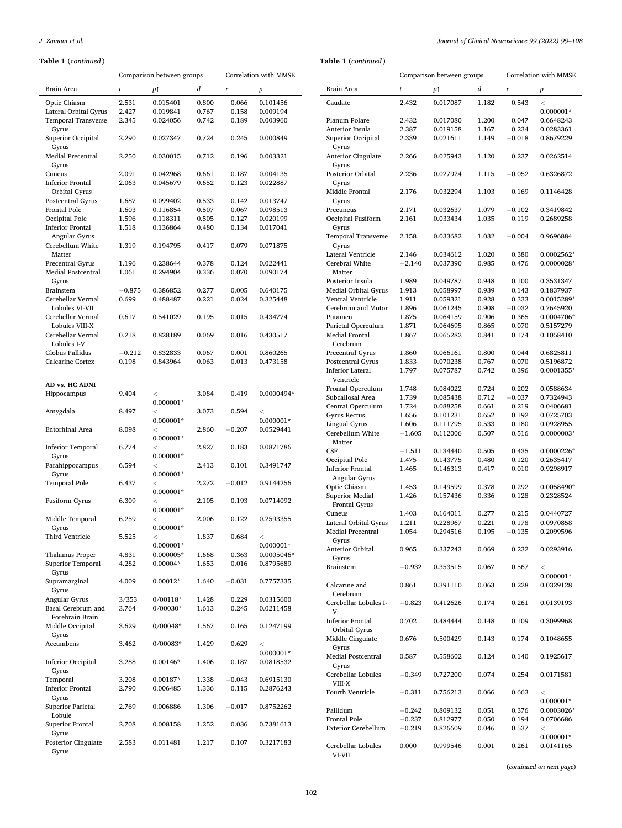#### **Table 1** (*continued* )

**Table 1** (*continued* )

|                                                     |                   | Comparison between groups |                | Correlation with MMSE |                        | Comparison between groups                 |                |                      | Correlation with MMSE |                |                          |
|-----------------------------------------------------|-------------------|---------------------------|----------------|-----------------------|------------------------|-------------------------------------------|----------------|----------------------|-----------------------|----------------|--------------------------|
| Brain Area                                          | t                 | p↑                        | d              | $\boldsymbol{r}$      | $\boldsymbol{p}$       | Brain Area                                | t              | p↑                   | d                     | r              | $\boldsymbol{p}$         |
| Optic Chiasm                                        | 2.531             | 0.015401                  | 0.800          | 0.066                 | 0.101456               | Caudate                                   | 2.432          | 0.017087             | 1.182                 | 0.543          | $\,<$                    |
| Lateral Orbital Gyrus<br><b>Temporal Transverse</b> | 2.427<br>2.345    | 0.019841<br>0.024056      | 0.767<br>0.742 | 0.158<br>0.189        | 0.009194<br>0.003960   | Planum Polare                             | 2.432          | 0.017080             | 1.200                 | 0.047          | $0.000001*$<br>0.6648243 |
| Gyrus                                               |                   |                           |                |                       |                        | Anterior Insula                           | 2.387          | 0.019158             | 1.167                 | 0.234          | 0.0283361                |
| Superior Occipital<br>Gyrus                         | 2.290             | 0.027347                  | 0.724          | 0.245                 | 0.000849               | Superior Occipital<br>Gyrus               | 2.339          | 0.021611             | 1.149                 | $-0.018$       | 0.8679229                |
| <b>Medial Precentral</b>                            | 2.250             | 0.030015                  | 0.712          | 0.196                 | 0.003321               | Anterior Cingulate                        | 2.266          | 0.025943             | 1.120                 | 0.237          | 0.0262514                |
| Gyrus<br>Cuneus                                     | 2.091             | 0.042968                  | 0.661          | 0.187                 | 0.004135               | Gyrus<br>Posterior Orbital                | 2.236          | 0.027924             | 1.115                 | $-0.052$       | 0.6326872                |
| <b>Inferior Frontal</b><br>Orbital Gyrus            | 2.063             | 0.045679                  | 0.652          | 0.123                 | 0.022887               | Gyrus<br>Middle Frontal                   | 2.176          | 0.032294             | 1.103                 | 0.169          | 0.1146428                |
| Postcentral Gyrus                                   | 1.687             | 0.099402                  | 0.533          | 0.142                 | 0.013747               | Gyrus                                     |                |                      |                       |                |                          |
| <b>Frontal Pole</b>                                 | 1.603             | 0.116854                  | 0.507          | 0.067                 | 0.098513               | Precuneus                                 | 2.171          | 0.032637             | 1.079                 | $-0.102$       | 0.3419842                |
| Occipital Pole                                      | 1.596             | 0.118311                  | 0.505          | 0.127                 | 0.020199               | Occipital Fusiform                        | 2.161          | 0.033434             | 1.035                 | 0.119          | 0.2689258                |
| <b>Inferior Frontal</b><br>Angular Gyrus            | 1.518             | 0.136864                  | 0.480          | 0.134                 | 0.017041               | Gyrus<br><b>Temporal Transverse</b>       | 2.158          | 0.033682             | 1.032                 | $-0.004$       | 0.9696884                |
| Cerebellum White<br>Matter                          | 1.319             | 0.194795                  | 0.417          | 0.079                 | 0.071875               | Gyrus<br>Lateral Ventricle                | 2.146          | 0.034612             | 1.020                 | 0.380          | 0.0002562*               |
| Precentral Gyrus                                    | 1.196             | 0.238644                  | 0.378          | 0.124                 | 0.022441               | Cerebral White                            | $-2.140$       | 0.037390             | 0.985                 | 0.476          | 0.0000028*               |
| Medial Postcentral                                  | 1.061             | 0.294904                  | 0.336          | 0.070                 | 0.090174               | Matter                                    |                |                      |                       |                |                          |
| Gyrus                                               |                   |                           |                |                       |                        | Posterior Insula                          | 1.989          | 0.049787             | 0.948                 | 0.100          | 0.3531347<br>0.1837937   |
| <b>Brainstem</b><br>Cerebellar Vermal               | $-0.875$<br>0.699 | 0.386852<br>0.488487      | 0.277<br>0.221 | 0.005<br>0.024        | 0.640175<br>0.325448   | Medial Orbital Gyrus<br>Ventral Ventricle | 1.913<br>1.911 | 0.058997<br>0.059321 | 0.939<br>0.928        | 0.143<br>0.333 | 0.0015289*               |
| Lobules VI-VII                                      |                   |                           |                |                       |                        | Cerebrum and Motor                        | 1.896          | 0.061245             | 0.908                 | $-0.032$       | 0.7645920                |
| Cerebellar Vermal                                   | 0.617             | 0.541029                  | 0.195          | 0.015                 | 0.434774               | Putamen                                   | 1.875          | 0.064159             | 0.906                 | 0.365          | 0.0004706*               |
| Lobules VIII-X                                      |                   |                           |                |                       |                        | Parietal Operculum                        | 1.871          | 0.064695             | 0.865                 | 0.070          | 0.5157279                |
| Cerebellar Vermal<br>Lobules I-V                    | 0.218             | 0.828189                  | 0.069          | 0.016                 | 0.430517               | <b>Medial Frontal</b><br>Cerebrum         | 1.867          | 0.065282             | 0.841                 | 0.174          | 0.1058410                |
| <b>Globus Pallidus</b>                              | $-0.212$          | 0.832833                  | 0.067          | 0.001                 | 0.860265               | Precentral Gyrus                          | 1.860          | 0.066161             | 0.800                 | 0.044          | 0.6825811                |
| <b>Calcarine Cortex</b>                             | 0.198             | 0.843964                  | 0.063          | 0.013                 | 0.473158               | Postcentral Gyrus                         | 1.833          | 0.070238             | 0.767                 | 0.070          | 0.5196872                |
|                                                     |                   |                           |                |                       |                        | <b>Inferior Lateral</b><br>Ventricle      | 1.797          | 0.075787             | 0.742                 | 0.396          | 0.0001355*               |
| AD vs. HC ADNI                                      |                   |                           |                |                       |                        | Frontal Operculum                         | 1.748          | 0.084022             | 0.724                 | 0.202          | 0.0588634                |
| Hippocampus                                         | 9.404             | $\,<\,$                   | 3.084          | 0.419                 | 0.0000494*             | Subcallosal Area                          | 1.739          | 0.085438             | 0.712                 | $-0.037$       | 0.7324943                |
|                                                     |                   | $0.000001*$               |                |                       |                        | Central Operculum                         | 1.724          | 0.088258             | 0.661                 | 0.219          | 0.0406681                |
| Amygdala                                            | 8.497             | $\,<\,$                   | 3.073          | 0.594                 | $\,<\,$                | Gyrus Rectus                              | 1.656          | 0.101231             | 0.652                 | 0.192          | 0.0725703                |
|                                                     |                   | $0.000001*$               |                |                       | $0.000001*$            | Lingual Gyrus                             | 1.606          | 0.111795             | 0.533                 | 0.180          | 0.0928955                |
| Entorhinal Area                                     | 8.098             | $\,<\,$<br>$0.000001*$    | 2.860          | $-0.207$              | 0.0529441              | Cerebellum White<br>Matter                | $-1.605$       | 0.112006             | 0.507                 | 0.516          | 0.0000003*               |
| <b>Inferior Temporal</b>                            | 6.774             | $\,<\,$                   | 2.827          | 0.183                 | 0.0871786              | $\operatorname{CSF}$                      | $-1.511$       | 0.134440             | 0.505                 | 0.435          | 0.0000226*               |
| Gyrus                                               |                   | $0.000001*$               |                |                       |                        | Occipital Pole                            | 1.475          | 0.143775             | 0.480                 | 0.120          | 0.2635417                |
| Parahippocampus<br>Gyrus                            | 6.594             | $\,<$<br>$0.000001*$      | 2.413          | 0.101                 | 0.3491747              | <b>Inferior Frontal</b><br>Angular Gyrus  | 1.465          | 0.146313             | 0.417                 | 0.010          | 0.9298917                |
| <b>Temporal Pole</b>                                | 6.437             | $\,<\,$                   | 2.272          | $-0.012$              | 0.9144256              | Optic Chiasm                              | 1.453          | 0.149599             | 0.378                 | 0.292          | 0.0058490*               |
| Fusiform Gyrus                                      | 6.309             | $0.000001*$<br>$\,<\,$    | 2.105          | 0.193                 | 0.0714092              | Superior Medial<br>Frontal Gyrus          | 1.426          | 0.157436             | 0.336                 | 0.128          | 0.2328524                |
|                                                     |                   | $0.000001*$               |                |                       |                        | Cuneus                                    | 1.403          | 0.164011             | 0.277                 | 0.215          | 0.0440727                |
| Middle Temporal                                     | 6.259             | $\,<\,$                   | 2.006          | 0.122                 | 0.2593355              | Lateral Orbital Gyrus                     | 1.211          | 0.228967             | 0.221                 | 0.178          | 0.0970858                |
| Gyrus                                               |                   | $0.000001*$               |                |                       |                        | Medial Precentral                         | 1.054          | 0.294516             | 0.195                 | $-0.135$       | 0.2099596                |
| Third Ventricle                                     | 5.525             | $\,<\,$<br>$0.000001*$    | 1.837          | 0.684                 | $\,<\,$<br>$0.000001*$ | Gyrus                                     |                |                      |                       |                |                          |
| <b>Thalamus Proper</b>                              | 4.831             | $0.000005*$               | 1.668          | 0.363                 | 0.0005046*             | Anterior Orbital                          | 0.965          | 0.337243             | 0.069                 | 0.232          | 0.0293916                |
| <b>Superior Temporal</b><br>Gyrus                   | 4.282             | $0.00004*$                | 1.653          | 0.016                 | 0.8795689              | Gyrus<br>Brainstem                        | $-0.932$       | 0.353515             | 0.067                 | 0.567          | $\,<$                    |
| Supramarginal<br>Gyrus                              | 4.009             | $0.00012*$                | 1.640          | $-0.031$              | 0.7757335              | Calcarine and                             | 0.861          | 0.391110             | 0.063                 | 0.228          | $0.000001*$<br>0.0329128 |
| Angular Gyrus<br>Basal Cerebrum and                 | 3/353<br>3.764    | $0/00118*$<br>$0/00030*$  | 1.428<br>1.613 | 0.229<br>0.245        | 0.0315600<br>0.0211458 | Cerebrum<br>Cerebellar Lobules I-         | $-0.823$       | 0.412626             | 0.174                 | 0.261          | 0.0139193                |
| Forebrain Brain<br>Middle Occipital                 | 3.629             | $0/00048*$                | 1.567          | 0.165                 | 0.1247199              | V<br><b>Inferior Frontal</b>              | 0.702          | 0.484444             | 0.148                 | 0.109          | 0.3099968                |
| Gyrus<br>Accumbens                                  |                   |                           |                |                       |                        | Orbital Gyrus<br>Middle Cingulate         | 0.676          | 0.500429             | 0.143                 | 0.174          | 0.1048655                |
|                                                     | 3.462             | $0/00083*$                | 1.429          | 0.629                 | $\,<$<br>$0.000001*$   | Gyrus<br>Medial Postcentral               | 0.587          | 0.558602             | 0.124                 | 0.140          | 0.1925617                |
| <b>Inferior Occipital</b><br>Gyrus                  | 3.288             | $0.00146*$                | 1.406          | 0.187                 | 0.0818532              | Gyrus<br>Cerebellar Lobules               | $-0.349$       | 0.727200             | 0.074                 | 0.254          | 0.0171581                |
| Temporal<br><b>Inferior Frontal</b>                 | 3.208<br>2.790    | $0.00187*$<br>0.006485    | 1.338<br>1.336 | $-0.043$<br>0.115     | 0.6915130<br>0.2876243 | VIII-X                                    |                |                      |                       |                |                          |
| Gyrus<br><b>Superior Parietal</b>                   | 2.769             | 0.006886                  | 1.306          | $-0.017$              | 0.8752262              | Fourth Ventricle                          | $-0.311$       | 0.756213             | 0.066                 | 0.663          | $\,<$<br>$0.000001*$     |
| Lobule                                              |                   |                           |                |                       |                        | Pallidum                                  | $-0.242$       | 0.809132             | 0.051                 | 0.376          | 0.0003026*               |
| Superior Frontal                                    | 2.708             | 0.008158                  | 1.252          | 0.036                 | 0.7381613              | Frontal Pole                              | $-0.237$       | 0.812977             | 0.050                 | 0.194          | 0.0706686                |
|                                                     |                   |                           |                |                       |                        | <b>Exterior Cerebellum</b>                | $-0.219$       | 0.826609             | 0.046                 | 0.537          | $\,<$                    |
| Gyrus                                               |                   |                           |                |                       |                        |                                           |                |                      |                       |                | $0.000001*$              |

(*continued on next page*)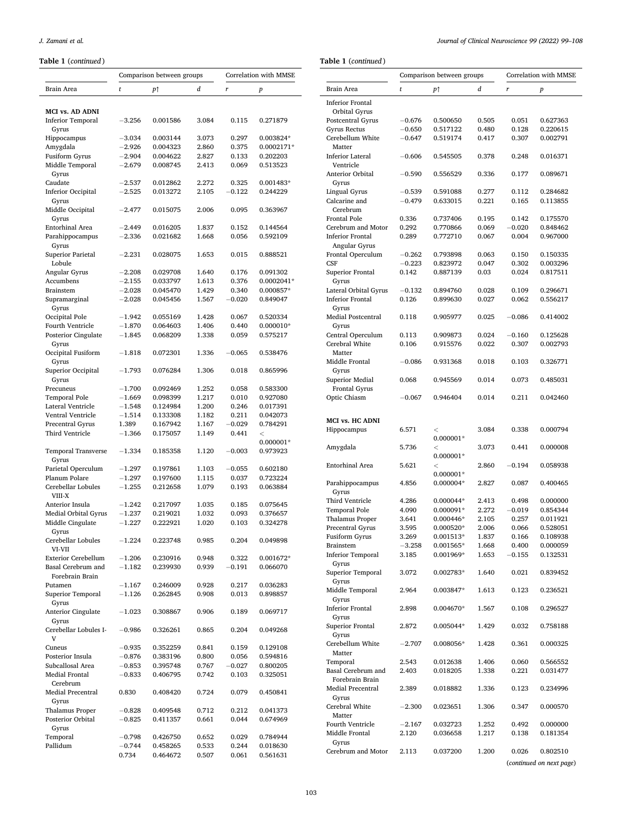### **Table 1** (*continued* )

|                             | Comparison between groups |          | Correlation with MMSE |          |                  |
|-----------------------------|---------------------------|----------|-----------------------|----------|------------------|
| Brain Area                  | t                         | р↑       | d                     | r        | $\boldsymbol{p}$ |
|                             |                           |          |                       |          |                  |
|                             |                           |          |                       |          |                  |
| <b>MCI vs. AD ADNI</b>      |                           |          |                       |          |                  |
| <b>Inferior Temporal</b>    | $-3.256$                  | 0.001586 | 3.084                 | 0.115    | 0.271879         |
| Gyrus                       |                           |          |                       |          |                  |
| Hippocampus                 | $-3.034$                  | 0.003144 | 3.073                 | 0.297    | 0.003824*        |
| Amygdala                    | $-2.926$                  | 0.004323 | 2.860                 | 0.375    | 0.0002171*       |
| Fusiform Gyrus              | $-2.904$                  | 0.004622 | 2.827                 | 0.133    | 0.202203         |
| Middle Temporal             | $-2.679$                  | 0.008745 | 2.413                 | 0.069    | 0.513523         |
|                             |                           |          |                       |          |                  |
| Gyrus                       |                           |          |                       |          |                  |
| Caudate                     | $-2.537$                  | 0.012862 | 2.272                 | 0.325    | 0.001483*        |
| <b>Inferior Occipital</b>   | $-2.525$                  | 0.013272 | 2.105                 | $-0.122$ | 0.244229         |
| Gyrus                       |                           |          |                       |          |                  |
| Middle Occipital            | $-2.477$                  | 0.015075 | 2.006                 | 0.095    | 0.363967         |
| Gyrus                       |                           |          |                       |          |                  |
| Entorhinal Area             | $-2.449$                  | 0.016205 | 1.837                 | 0.152    | 0.144564         |
| Parahippocampus             | $-2.336$                  | 0.021682 | 1.668                 | 0.056    | 0.592109         |
| Gyrus                       |                           |          |                       |          |                  |
| <b>Superior Parietal</b>    | $-2.231$                  | 0.028075 | 1.653                 | 0.015    | 0.888521         |
|                             |                           |          |                       |          |                  |
| Lobule                      |                           |          |                       |          |                  |
| Angular Gyrus               | $-2.208$                  | 0.029708 | 1.640                 | 0.176    | 0.091302         |
| Accumbens                   | $-2.155$                  | 0.033797 | 1.613                 | 0.376    | 0.0002041*       |
| <b>Brainstem</b>            | $-2.028$                  | 0.045470 | 1.429                 | 0.340    | 0.000857*        |
| Supramarginal               | $-2.028$                  | 0.045456 | 1.567                 | $-0.020$ | 0.849047         |
| Gyrus                       |                           |          |                       |          |                  |
| Occipital Pole              | $-1.942$                  | 0.055169 | 1.428                 | 0.067    | 0.520334         |
| Fourth Ventricle            | $^{-1.870}$               | 0.064603 | 1.406                 | 0.440    | $0.000010*$      |
|                             |                           | 0.068209 | 1.338                 |          |                  |
| Posterior Cingulate         | $-1.845$                  |          |                       | 0.059    | 0.575217         |
| Gyrus                       |                           |          |                       |          |                  |
| Occipital Fusiform          | $-1.818$                  | 0.072301 | 1.336                 | $-0.065$ | 0.538476         |
| Gyrus                       |                           |          |                       |          |                  |
| Superior Occipital          | $-1.793$                  | 0.076284 | 1.306                 | 0.018    | 0.865996         |
| Gyrus                       |                           |          |                       |          |                  |
| Precuneus                   | $-1.700$                  | 0.092469 | 1.252                 | 0.058    | 0.583300         |
| Temporal Pole               | $-1.669$                  | 0.098399 | 1.217                 | 0.010    | 0.927080         |
| Lateral Ventricle           |                           |          |                       | 0.246    |                  |
|                             | $-1.548$                  | 0.124984 | 1.200                 |          | 0.017391         |
| Ventral Ventricle           | $-1.514$                  | 0.133308 | 1.182                 | 0.211    | 0.042073         |
| Precentral Gyrus            | 1.389                     | 0.167942 | 1.167                 | $-0.029$ | 0.784291         |
| Third Ventricle             | $-1.366$                  | 0.175057 | 1.149                 | 0.441    | $\,<$            |
|                             |                           |          |                       |          | $0.000001*$      |
| <b>Temporal Transverse</b>  | $-1.334$                  | 0.185358 | 1.120                 | $-0.003$ | 0.973923         |
| Gyrus                       |                           |          |                       |          |                  |
| Parietal Operculum          | $-1.297$                  | 0.197861 | 1.103                 | $-0.055$ | 0.602180         |
| Planum Polare               | $-1.297$                  | 0.197600 | 1.115                 | 0.037    | 0.723224         |
| Cerebellar Lobules          | $-1.255$                  | 0.212658 | 1.079                 | 0.193    | 0.063884         |
|                             |                           |          |                       |          |                  |
| VIII-X                      |                           |          |                       |          |                  |
| Anterior Insula             | $-1.242$                  | 0.217097 | 1.035                 | 0.185    | 0.075645         |
| <b>Medial Orbital Gyrus</b> | $-1.237$                  | 0.219021 | 1.032                 | 0.093    | 0.376657         |
| Middle Cingulate            | $-1.227$                  | 0.222921 | 1.020                 | 0.103    | 0.324278         |
| Gyrus                       |                           |          |                       |          |                  |
| Cerebellar Lobules          | -1.224                    | 0.223748 | 0.985                 | 0.204    | 0.049898         |
| VI-VII                      |                           |          |                       |          |                  |
| <b>Exterior Cerebellum</b>  | $-1.206$                  | 0.230916 | 0.948                 | 0.322    | 0.001672*        |
| Basal Cerebrum and          | $-1.182$                  | 0.239930 | 0.939                 | $-0.191$ | 0.066070         |
| Forebrain Brain             |                           |          |                       |          |                  |
|                             |                           |          |                       |          |                  |
| Putamen                     | $-1.167$                  | 0.246009 | 0.928                 | 0.217    | 0.036283         |
| Superior Temporal           | $-1.126$                  | 0.262845 | 0.908                 | 0.013    | 0.898857         |
| Gyrus                       |                           |          |                       |          |                  |
| Anterior Cingulate          | $-1.023$                  | 0.308867 | 0.906                 | 0.189    | 0.069717         |
| Gyrus                       |                           |          |                       |          |                  |
| Cerebellar Lobules I-       | $-0.986$                  | 0.326261 | 0.865                 | 0.204    | 0.049268         |
| V                           |                           |          |                       |          |                  |
| Cuneus                      | $-0.935$                  | 0.352259 | 0.841                 | 0.159    | 0.129108         |
|                             |                           |          |                       |          |                  |
| Posterior Insula            | $-0.876$                  | 0.383196 | 0.800                 | 0.056    | 0.594816         |
| Subcallosal Area            | $-0.853$                  | 0.395748 | 0.767                 | $-0.027$ | 0.800205         |
| Medial Frontal              | $-0.833$                  | 0.406795 | 0.742                 | 0.103    | 0.325051         |
| Cerebrum                    |                           |          |                       |          |                  |
| <b>Medial Precentral</b>    | 0.830                     | 0.408420 | 0.724                 | 0.079    | 0.450841         |
| Gyrus                       |                           |          |                       |          |                  |
| <b>Thalamus Proper</b>      | $-0.828$                  | 0.409548 | 0.712                 | 0.212    | 0.041373         |
| Posterior Orbital           | $-0.825$                  | 0.411357 | 0.661                 | 0.044    | 0.674969         |
|                             |                           |          |                       |          |                  |
| Gyrus                       |                           |          |                       |          |                  |
| Temporal                    | $-0.798$                  | 0.426750 | 0.652                 | 0.029    | 0.784944         |
| Pallidum                    | $-0.744$                  | 0.458265 | 0.533                 | 0.244    | 0.018630         |
|                             | 0.734                     | 0.464672 | 0.507                 | 0.061    | 0.561631         |
|                             |                           |          |                       |          |                  |

Brain Area *t p*↑ *d r p*  Postcentral Gyrus − 0.676 0.500650 0.505 0.051 0.627363 Gyrus Rectus − 0.650 0.517122 0.480 0.128<br>Cerebellum White − 0.647 0.519174 0.417 0.307 0.002791  $-0.606$  0.545505 0.378 0.248 0.016371 − 0.590 0.556529 0.336 0.177 0.089671 Lingual Gyrus − 0.539 0.591088 0.277 0.112 0.284682<br>Calcarine and − 0.479 0.633015 0.221 0.165 0.113855 0.633015 Frontal Pole 0.336 0.737406 0.195 0.142 0.175570<br>Cerebrum and Motor 0.292 0.770866 0.069 -0.020 0.848462 0.289 0.772710 0.067 0.004 0.967000 Frontal Operculum -0.262 0.793898 0.063 0.150 0.150335<br>CSF -0.223 0.823972 0.047 0.302 0.003296 CSF − 0.223 0.823972 0.047 0.302 0.003296 0.142 0.887139 0.03 0.024 0.817511 Lateral Orbital Gyrus − 0.132 0.894760 0.028 0.109 0.296671  $0.126$   $0.899630$   $0.027$ 

0.118 0.905977 0.025  $-0.086$  0.414002

0.106 0.915576 0.022 0.307 0.002793

− 0.086 0.931368 0.018 0.103 0.326771

Central Operculum 0.113 0.909873 0.024 − 0.160 0.125628

| <b>Superior Medial</b><br>Frontal Gyrus | 0.068    | 0.945569               | 0.014 | 0.073    | 0.485031                 |
|-----------------------------------------|----------|------------------------|-------|----------|--------------------------|
|                                         |          |                        |       | 0.211    |                          |
| Optic Chiasm                            | $-0.067$ | 0.946404               | 0.014 |          | 0.042460                 |
| <b>MCI vs. HC ADNI</b>                  |          |                        |       |          |                          |
| Hippocampus                             | 6.571    | $\,<$<br>0.000001*     | 3.084 | 0.338    | 0.000794                 |
| Amygdala                                | 5.736    | $\,<$<br>$0.000001*$   | 3.073 | 0.441    | 0.000008                 |
| <b>Entorhinal Area</b>                  | 5.621    | $\,<\,$<br>$0.000001*$ | 2.860 | $-0.194$ | 0.058938                 |
| Parahippocampus<br>Gyrus                | 4.856    | 0.000004*              | 2.827 | 0.087    | 0.400465                 |
| <b>Third Ventricle</b>                  | 4.286    | 0.000044*              | 2.413 | 0.498    | 0.000000                 |
| <b>Temporal Pole</b>                    | 4.090    | 0.000091*              | 2.272 | $-0.019$ | 0.854344                 |
| <b>Thalamus Proper</b>                  | 3.641    | 0.000446*              | 2.105 | 0.257    | 0.011921                 |
| Precentral Gyrus                        | 3.595    | 0.000520*              | 2.006 | 0.066    | 0.528051                 |
| <b>Fusiform Gyrus</b>                   | 3.269    | 0.001513*              | 1.837 | 0.166    | 0.108938                 |
| <b>Brainstem</b>                        | $-3.258$ | 0.001565*              | 1.668 | 0.400    | 0.000059                 |
| <b>Inferior Temporal</b>                | 3.185    | 0.001969*              | 1.653 | $-0.155$ | 0.132531                 |
| Gyrus                                   |          |                        |       |          |                          |
| Superior Temporal<br>Gyrus              | 3.072    | 0.002783*              | 1.640 | 0.021    | 0.839452                 |
| Middle Temporal<br>Gyrus                | 2.964    | 0.003847*              | 1.613 | 0.123    | 0.236521                 |
| <b>Inferior Frontal</b><br>Gyrus        | 2.898    | 0.004670*              | 1.567 | 0.108    | 0.296527                 |
| Superior Frontal<br>Gyrus               | 2.872    | 0.005044*              | 1.429 | 0.032    | 0.758188                 |
| Cerebellum White<br>Matter              | $-2.707$ | 0.008056*              | 1.428 | 0.361    | 0.000325                 |
| Temporal                                | 2.543    | 0.012638               | 1.406 | 0.060    | 0.566552                 |
| Basal Cerebrum and                      | 2.403    | 0.018205               | 1.338 | 0.221    | 0.031477                 |
| Forebrain Brain                         |          |                        |       |          |                          |
| <b>Medial Precentral</b><br>Gyrus       | 2.389    | 0.018882               | 1.336 | 0.123    | 0.234996                 |
| Cerebral White<br>Matter                | $-2.300$ | 0.023651               | 1.306 | 0.347    | 0.000570                 |
| <b>Fourth Ventricle</b>                 | $-2.167$ | 0.032723               | 1.252 | 0.492    | 0.000000                 |
| Middle Frontal<br>Gyrus                 | 2.120    | 0.036658               | 1.217 | 0.138    | 0.181354                 |
| Cerebrum and Motor                      | 2.113    | 0.037200               | 1.200 | 0.026    | 0.802510                 |
|                                         |          |                        |       |          | (continued on next page) |

Comparison between groups Correlation with MMSE

**Table 1** (*continued* )

Inferior Frontal Orbital Gyrus

Cerebellum White Matter

Inferior Lateral Ventricle

Anterior Orbital Gyrus

Calcarine and Cerebrum

Cerebrum and Motor Inferior Frontal Angular Gyrus

Superior Frontal Gyrus

Inferior Frontal Gyrus

Cerebral White Matter

Middle Frontal Gyrus

Medial Postcentral Gyrus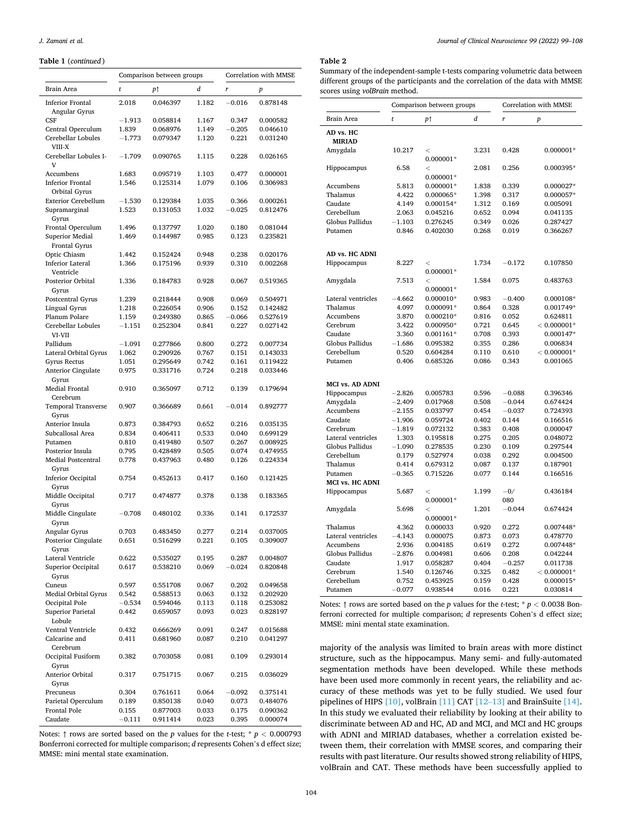### <span id="page-5-0"></span>**Table 1** (*continued* )

|                                          | Comparison between groups |          | Correlation with MMSE |          |                  |
|------------------------------------------|---------------------------|----------|-----------------------|----------|------------------|
| Brain Area                               | t                         | PŤ       | d                     | r        | $\boldsymbol{p}$ |
| <b>Inferior Frontal</b><br>Angular Gyrus | 2.018                     | 0.046397 | 1.182                 | $-0.016$ | 0.878148         |
| <b>CSF</b>                               | $-1.913$                  | 0.058814 | 1.167                 | 0.347    | 0.000582         |
| Central Operculum                        | 1.839                     | 0.068976 | 1.149                 | $-0.205$ | 0.046610         |
| Cerebellar Lobules<br>VIII-X             | $-1.773$                  | 0.079347 | 1.120                 | 0.221    | 0.031240         |
| Cerebellar Lobules I-<br>V               | $-1.709$                  | 0.090765 | 1.115                 | 0.228    | 0.026165         |
| Accumbens                                | 1.683                     | 0.095719 | 1.103                 | 0.477    | 0.000001         |
| <b>Inferior Frontal</b><br>Orbital Gyrus | 1.546                     | 0.125314 | 1.079                 | 0.106    | 0.306983         |
| <b>Exterior Cerebellum</b>               | $-1.530$                  | 0.129384 | 1.035                 | 0.366    | 0.000261         |
| Supramarginal<br>Gyrus                   | 1.523                     | 0.131053 | 1.032                 | $-0.025$ | 0.812476         |
| Frontal Operculum                        | 1.496                     | 0.137797 | 1.020                 | 0.180    | 0.081044         |
| <b>Superior Medial</b><br>Frontal Gyrus  | 1.469                     | 0.144987 | 0.985                 | 0.123    | 0.235821         |
| Optic Chiasm                             | 1.442                     | 0.152424 | 0.948                 | 0.238    | 0.020176         |
| <b>Inferior Lateral</b><br>Ventricle     | 1.366                     | 0.175196 | 0.939                 | 0.310    | 0.002268         |
| Posterior Orbital<br>Gyrus               | 1.336                     | 0.184783 | 0.928                 | 0.067    | 0.519365         |
| Postcentral Gyrus                        | 1.239                     | 0.218444 | 0.908                 | 0.069    | 0.504971         |
| Lingual Gyrus                            | 1.218                     | 0.226054 | 0.906                 | 0.152    | 0.142482         |
| Planum Polare                            | 1.159                     | 0.249380 | 0.865                 | $-0.066$ | 0.527619         |
| Cerebellar Lobules<br>VI-VII             | $-1.151$                  | 0.252304 | 0.841                 | 0.227    | 0.027142         |
| Pallidum                                 | $-1.091$                  | 0.277866 | 0.800                 | 0.272    | 0.007734         |
| Lateral Orbital Gyrus                    | 1.062                     | 0.290926 | 0.767                 | 0.151    | 0.143033         |
| Gyrus Rectus                             | 1.051                     | 0.295649 | 0.742                 | 0.161    | 0.119422         |
| <b>Anterior Cingulate</b><br>Gyrus       | 0.975                     | 0.331716 | 0.724                 | 0.218    | 0.033446         |
| <b>Medial Frontal</b><br>Cerebrum        | 0.910                     | 0.365097 | 0.712                 | 0.139    | 0.179694         |
| <b>Temporal Transverse</b><br>Gyrus      | 0.907                     | 0.366689 | 0.661                 | $-0.014$ | 0.892777         |
| Anterior Insula                          | 0.873                     | 0.384793 | 0.652                 | 0.216    | 0.035135         |
| Subcallosal Area                         | 0.834                     | 0.406411 | 0.533                 | 0.040    | 0.699129         |
| Putamen                                  | 0.810                     | 0.419480 | 0.507                 | 0.267    | 0.008925         |
| Posterior Insula<br>Medial Postcentral   | 0.795                     | 0.428489 | 0.505                 | 0.074    | 0.474955         |
| Gyrus                                    | 0.778                     | 0.437963 | 0.480                 | 0.126    | 0.224334         |
| <b>Inferior Occipital</b><br>Gyrus       | 0.754                     | 0.452613 | 0.417                 | 0.160    | 0.121425         |
| Middle Occipital<br>Gyrus                | 0.717                     | 0.474877 | 0.378                 | 0.138    | 0.183365         |
| Middle Cingulate<br>Gyrus                | $-0.708$                  | 0.480102 | 0.336                 | 0.141    | 0.172537         |
| Angular Gyrus                            | 0.703                     | 0.483450 | 0.277                 | 0.214    | 0.037005         |
| Posterior Cingulate<br>Gyrus             | 0.651                     | 0.516299 | 0.221                 | 0.105    | 0.309007         |
| Lateral Ventricle                        | 0.622                     | 0.535027 | 0.195                 | 0.287    | 0.004807         |
| Superior Occipital<br>Gyrus              | 0.617                     | 0.538210 | 0.069                 | $-0.024$ | 0.820848         |
| Cuneus                                   | 0.597                     | 0.551708 | 0.067                 | 0.202    | 0.049658         |
| Medial Orbital Gyrus                     | 0.542                     | 0.588513 | 0.063                 | 0.132    | 0.202920         |
| Occipital Pole                           | $-0.534$                  | 0.594046 | 0.113                 | 0.118    | 0.253082         |
| <b>Superior Parietal</b><br>Lobule       | 0.442                     | 0.659057 | 0.093                 | 0.023    | 0.828197         |
| Ventral Ventricle                        | 0.432                     | 0.666269 | 0.091                 | 0.247    | 0.015688         |
| Calcarine and<br>Cerebrum                | 0.411                     | 0.681960 | 0.087                 | 0.210    | 0.041297         |
| Occipital Fusiform<br>Gyrus              | 0.382                     | 0.703058 | 0.081                 | 0.109    | 0.293014         |
| Anterior Orbital<br>Gyrus                | 0.317                     | 0.751715 | 0.067                 | 0.215    | 0.036029         |
| Precuneus                                | 0.304                     | 0.761611 | 0.064                 | $-0.092$ | 0.375141         |
| Parietal Operculum                       | 0.189                     | 0.850138 | 0.040                 | 0.073    | 0.484076         |
| Frontal Pole                             | 0.155                     | 0.877003 | 0.033                 | 0.175    | 0.090362         |
| Caudate                                  | $-0.111$                  | 0.911414 | 0.023                 | 0.395    | 0.000074         |
|                                          |                           |          |                       |          |                  |

Notes: ↑ rows are sorted based on the *p* values for the *t*-test; \* *p <* 0.000793 Bonferroni corrected for multiple comparison; *d* represents Cohen's d effect size; MMSE: mini mental state examination.

### **Table 2**

Summary of the independent-sample t-tests comparing volumetric data between different groups of the participants and the correlation of the data with MMSE scores using *volBrain* method.

|                           | Comparison between groups |                      | Correlation with MMSE |          |                |
|---------------------------|---------------------------|----------------------|-----------------------|----------|----------------|
| <b>Brain Area</b>         | t                         | P↑                   | d                     | r        | p              |
| AD vs. HC                 |                           |                      |                       |          |                |
| <b>MIRIAD</b><br>Amygdala | 10.217                    | $\,<$                | 3.231                 | 0.428    | $0.000001*$    |
|                           |                           | $0.000001*$          |                       |          |                |
| Hippocampus               | 6.58                      | $\,<$                | 2.081                 | 0.256    | 0.000395*      |
|                           |                           | $0.000001*$          |                       |          |                |
| Accumbens                 | 5.813                     | $0.000001*$          | 1.838                 | 0.339    | 0.000027*      |
| Thalamus                  | 4.422                     | 0.000065*            | 1.398                 | 0.317    | 0.000057*      |
| Caudate                   | 4.149                     | 0.000154*            | 1.312                 | 0.169    | 0.005091       |
| Cerebellum                | 2.063                     | 0.045216             | 0.652                 | 0.094    | 0.041135       |
| Globus Pallidus           | $^{-1.103}$               | 0.276245             | 0.349                 | 0.026    | 0.287427       |
| Putamen                   | 0.846                     | 0.402030             | 0.268                 | 0.019    | 0.366267       |
|                           |                           |                      |                       |          |                |
| AD vs. HC ADNI            | 8.227                     |                      |                       | $-0.172$ |                |
| Hippocampus               |                           | $\,<$<br>$0.000001*$ | 1.734                 |          | 0.107850       |
| Amygdala                  | 7.513                     | $\,<$                | 1.584                 | 0.075    | 0.483763       |
|                           |                           | $0.000001*$          |                       |          |                |
| Lateral ventricles        | $-4.662$                  | $0.000010*$          | 0.983                 | $-0.400$ | $0.000108*$    |
| Thalamus                  | 4.097                     | 0.000091*            | 0.864                 | 0.328    | 0.001749*      |
| Accumbens                 | 3.870                     | $0.000210*$          | 0.816                 | 0.052    | 0.624811       |
| Cerebrum                  | 3.422                     | 0.000950*            | 0.721                 | 0.645    | $< 0.000001^*$ |
| Caudate                   | 3.360                     | $0.001161*$          | 0.708                 | 0.393    | $0.000147*$    |
| <b>Globus Pallidus</b>    | $^{-1.686}$               | 0.095382             | 0.355                 | 0.286    | 0.006834       |
| Cerebellum                | 0.520                     | 0.604284             | 0.110                 | 0.610    | $< 0.000001*$  |
| Putamen                   | 0.406                     | 0.685326             | 0.086                 | 0.343    | 0.001065       |
| MCI vs. AD ADNI           |                           |                      |                       |          |                |
| Hippocampus               | $-2.826$                  | 0.005783             | 0.596                 | $-0.088$ | 0.396346       |
| Amygdala                  | $-2.409$                  | 0.017968             | 0.508                 | $-0.044$ | 0.674424       |
| Accumbens                 | $-2.155$                  | 0.033797             | 0.454                 | $-0.037$ | 0.724393       |
| Caudate                   | $-1.906$                  | 0.059724             | 0.402                 | 0.144    | 0.166516       |
| Cerebrum                  | $-1.819$                  | 0.072132             | 0.383                 | 0.408    | 0.000047       |
| Lateral ventricles        | 1.303                     | 0.195818             | 0.275                 | 0.205    | 0.048072       |
| <b>Globus Pallidus</b>    | $-1.090$                  | 0.278535             | 0.230                 | 0.109    | 0.297544       |
| Cerebellum                | 0.179                     | 0.527974             | 0.038                 | 0.292    | 0.004500       |
| Thalamus                  | 0.414                     | 0.679312             | 0.087                 | 0.137    | 0.187901       |
| Putamen                   | $-0.365$                  | 0.715226             | 0.077                 | 0.144    | 0.166516       |
| MCI vs. HC ADNI           |                           |                      |                       |          |                |
| Hippocampus               | 5.687                     | $\,<$                | 1.199                 | $-0/$    | 0.436184       |
|                           |                           | $0.000001*$          |                       | 080      |                |
| Amygdala                  | 5.698                     | $\,<$                | 1.201                 | $-0.044$ | 0.674424       |
|                           |                           | $0.000001*$          |                       |          |                |
| Thalamus                  | 4.362                     | 0.000033             | 0.920                 | 0.272    | $0.007448*$    |
| Lateral ventricles        | $-4.143$                  | 0.000075             | 0.873                 | 0.073    | 0.478770       |
| Accumbens                 | 2.936                     | 0.004185             | 0.619                 | 0.272    | $0.007448*$    |
| Globus Pallidus           | $-2.876$                  | 0.004981             | 0.606                 | 0.208    | 0.042244       |
| Caudate                   | 1.917                     | 0.058287             | 0.404                 | $-0.257$ | 0.011738       |
| Cerebrum                  | 1.540                     | 0.126746             | 0.325                 | 0.482    | $< 0.000001^*$ |
| Cerebellum                | 0.752                     | 0.453925             | 0.159                 | 0.428    | 0.000015*      |
| Putamen                   | $-0.077$                  | 0.938544             | 0.016                 | 0.221    | 0.030814       |

Notes: ↑ rows are sorted based on the *p* values for the *t*-test; \* *p <* 0.0038 Bonferroni corrected for multiple comparison; *d* represents Cohen's d effect size; MMSE: mini mental state examination.

majority of the analysis was limited to brain areas with more distinct structure, such as the hippocampus. Many semi- and fully-automated segmentation methods have been developed. While these methods have been used more commonly in recent years, the reliability and accuracy of these methods was yet to be fully studied. We used four pipelines of HIPS [\[10\]](#page-9-0), volBrain [\[11\]](#page-9-0) CAT [\[12](#page-9-0)–13] and BrainSuite [\[14\]](#page-9-0). In this study we evaluated their reliability by looking at their ability to discriminate between AD and HC, AD and MCI, and MCI and HC groups with ADNI and MIRIAD databases, whether a correlation existed between them, their correlation with MMSE scores, and comparing their results with past literature. Our results showed strong reliability of HIPS, volBrain and CAT. These methods have been successfully applied to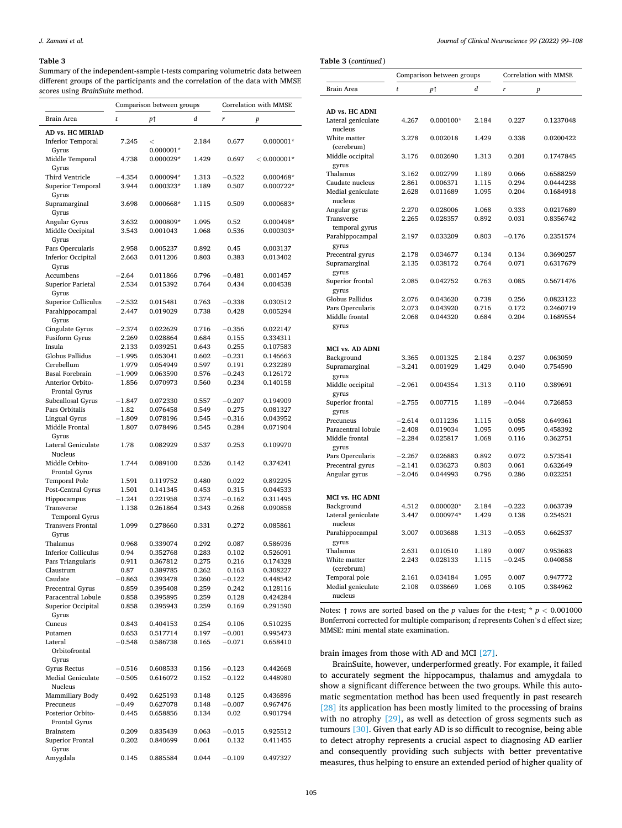#### <span id="page-6-0"></span>**Table 3**

Summary of the independent-sample t-tests comparing volumetric data between different groups of the participants and the correlation of the data with MMSE scores using *BrainSuite* method.

|                                        | Comparison between groups |                      |                | Correlation with MMSE |                      |  |
|----------------------------------------|---------------------------|----------------------|----------------|-----------------------|----------------------|--|
| Brain Area                             | t                         | PŤ                   | d              | r                     | p                    |  |
| AD vs. HC MIRIAD                       |                           |                      |                |                       |                      |  |
| <b>Inferior Temporal</b>               | 7.245                     | $\,<$                | 2.184          | 0.677                 | $0.000001*$          |  |
| Gyrus                                  |                           | $0.000001*$          |                |                       |                      |  |
| Middle Temporal                        | 4.738                     | 0.000029*            | 1.429          | 0.697                 | $< 0.000001*$        |  |
| Gyrus                                  |                           |                      |                |                       |                      |  |
| Third Ventricle                        | $-4.354$                  | 0.000094*            | 1.313          | $-0.522$              | 0.000468*            |  |
| Superior Temporal                      | 3.944                     | 0.000323*            | 1.189          | 0.507                 | 0.000722*            |  |
| Gyrus<br>Supramarginal                 | 3.698                     | 0.000668*            | 1.115          | 0.509                 | 0.000683*            |  |
| Gyrus                                  |                           |                      |                |                       |                      |  |
| Angular Gyrus                          | 3.632                     | 0.000809*            | 1.095          | 0.52                  | 0.000498*            |  |
| Middle Occipital                       | 3.543                     | 0.001043             | 1.068          | 0.536                 | 0.000303*            |  |
| Gyrus                                  |                           |                      |                |                       |                      |  |
| Pars Opercularis                       | 2.958                     | 0.005237             | 0.892          | 0.45                  | 0.003137             |  |
| <b>Inferior Occipital</b>              | 2.663                     | 0.011206             | 0.803          | 0.383                 | 0.013402             |  |
| Gyrus                                  | $-2.64$                   | 0.011866             |                | $-0.481$              |                      |  |
| Accumbens<br><b>Superior Parietal</b>  | 2.534                     | 0.015392             | 0.796<br>0.764 | 0.434                 | 0.001457<br>0.004538 |  |
| Gyrus                                  |                           |                      |                |                       |                      |  |
| <b>Superior Colliculus</b>             | $-2.532$                  | 0.015481             | 0.763          | $-0.338$              | 0.030512             |  |
| Parahippocampal                        | 2.447                     | 0.019029             | 0.738          | 0.428                 | 0.005294             |  |
| Gyrus                                  |                           |                      |                |                       |                      |  |
| Cingulate Gyrus                        | $-2.374$                  | 0.022629             | 0.716          | $-0.356$              | 0.022147             |  |
| Fusiform Gyrus                         | 2.269                     | 0.028864             | 0.684          | 0.155                 | 0.334311             |  |
| Insula                                 | 2.133                     | 0.039251             | 0.643          | 0.255                 | 0.107583             |  |
| Globus Pallidus                        | –1.995                    | 0.053041             | 0.602          | $-0.231$              | 0.146663             |  |
| Cerebellum<br><b>Basal Forebrain</b>   | 1.979<br>$-1.909$         | 0.054949<br>0.063590 | 0.597<br>0.576 | 0.191<br>$-0.243$     | 0.232289<br>0.126172 |  |
| Anterior Orbito-                       | 1.856                     | 0.070973             | 0.560          | 0.234                 | 0.140158             |  |
| <b>Frontal Gyrus</b>                   |                           |                      |                |                       |                      |  |
| Subcallosal Gyrus                      | $^{-1.847}$               | 0.072330             | 0.557          | $-0.207$              | 0.194909             |  |
| Pars Orbitalis                         | 1.82                      | 0.076458             | 0.549          | 0.275                 | 0.081327             |  |
| Lingual Gyrus                          | $-1.809$                  | 0.078196             | 0.545          | $-0.316$              | 0.043952             |  |
| Middle Frontal                         | 1.807                     | 0.078496             | 0.545          | 0.284                 | 0.071904             |  |
| Gyrus                                  |                           |                      |                |                       |                      |  |
| Lateral Geniculate                     | 1.78                      | 0.082929             | 0.537          | 0.253                 | 0.109970             |  |
| Nucleus<br>Middle Orbito-              | 1.744                     | 0.089100             | 0.526          | 0.142                 | 0.374241             |  |
| <b>Frontal Gyrus</b>                   |                           |                      |                |                       |                      |  |
| <b>Temporal Pole</b>                   | 1.591                     | 0.119752             | 0.480          | 0.022                 | 0.892295             |  |
| Post-Central Gyrus                     | 1.501                     | 0.141345             | 0.453          | 0.315                 | 0.044533             |  |
| Hippocampus                            | –1.241                    | 0.221958             | 0.374          | $-0.162$              | 0.311495             |  |
| Transverse                             | 1.138                     | 0.261864             | 0.343          | 0.268                 | 0.090858             |  |
| <b>Temporal Gyrus</b>                  |                           |                      |                |                       |                      |  |
| <b>Transvers Frontal</b>               | 1.099                     | 0.278660             | 0.331          | 0.272                 | 0.085861             |  |
| Gyrus                                  |                           |                      |                |                       |                      |  |
| Thalamus<br><b>Inferior Colliculus</b> | 0.968<br>0.94             | 0.339074<br>0.352768 | 0.292<br>0.283 | 0.087                 | 0.586936<br>0.526091 |  |
| Pars Triangularis                      | 0.911                     | 0.367812             | 0.275          | 0.102<br>0.216        | 0.174328             |  |
| Claustrum                              | 0.87                      | 0.389785             | 0.262          | 0.163                 | 0.308227             |  |
| Caudate                                | $-0.863$                  | 0.393478             | 0.260          | $-0.122$              | 0.448542             |  |
| Precentral Gyrus                       | 0.859                     | 0.395408             | 0.259          | 0.242                 | 0.128116             |  |
| Paracentral Lobule                     | 0.858                     | 0.395895             | 0.259          | 0.128                 | 0.424284             |  |
| Superior Occipital                     | 0.858                     | 0.395943             | 0.259          | 0.169                 | 0.291590             |  |
| Gyrus                                  |                           |                      |                |                       |                      |  |
| Cuneus                                 | 0.843                     | 0.404153             | 0.254          | 0.106                 | 0.510235             |  |
| Putamen                                | 0.653<br>$-0.548$         | 0.517714<br>0.586738 | 0.197<br>0.165 | $-0.001$<br>$-0.071$  | 0.995473             |  |
| Lateral<br>Orbitofrontal               |                           |                      |                |                       | 0.658410             |  |
| Gyrus                                  |                           |                      |                |                       |                      |  |
| Gyrus Rectus                           | $-0.516$                  | 0.608533             | 0.156          | $-0.123$              | 0.442668             |  |
| <b>Medial Geniculate</b>               | $-0.505$                  | 0.616072             | 0.152          | $-0.122$              | 0.448980             |  |
| Nucleus                                |                           |                      |                |                       |                      |  |
| Mammillary Body                        | 0.492                     | 0.625193             | 0.148          | 0.125                 | 0.436896             |  |
| Precuneus                              | $-0.49$                   | 0.627078             | 0.148          | $-0.007$              | 0.967476             |  |
| Posterior Orbito-                      | 0.445                     | 0.658856             | 0.134          | 0.02                  | 0.901794             |  |
| Frontal Gyrus                          |                           |                      |                |                       |                      |  |
| <b>Brainstem</b>                       | 0.209                     | 0.835439             | 0.063          | $-0.015$              | 0.925512             |  |
| Superior Frontal<br>Gyrus              | 0.202                     | 0.840699             | 0.061          | 0.132                 | 0.411455             |  |
| Amygdala                               | 0.145                     | 0.885584             | 0.044          | $-0.109$              | 0.497327             |  |
|                                        |                           |                      |                |                       |                      |  |

**Table 3** (*continued* )

|                               | Comparison between groups |             |                | Correlation with MMSE |                      |  |
|-------------------------------|---------------------------|-------------|----------------|-----------------------|----------------------|--|
| Brain Area                    | t                         | P↑          | d              | $\overline{r}$        | $\boldsymbol{p}$     |  |
|                               |                           |             |                |                       |                      |  |
| AD vs. HC ADNI                |                           |             |                |                       |                      |  |
| Lateral geniculate<br>nucleus | 4.267                     | $0.000100*$ | 2.184          | 0.227                 | 0.1237048            |  |
| White matter<br>(cerebrum)    | 3.278                     | 0.002018    | 1.429          | 0.338                 | 0.0200422            |  |
| Middle occipital<br>gyrus     | 3.176                     | 0.002690    | 1.313          | 0.201                 | 0.1747845            |  |
| Thalamus                      | 3.162                     | 0.002799    | 1.189          | 0.066                 | 0.6588259            |  |
| Caudate nucleus               | 2.861                     | 0.006371    | 1.115          | 0.294                 | 0.0444238            |  |
| Medial geniculate             | 2.628                     | 0.011689    | 1.095          | 0.204                 | 0.1684918            |  |
| nucleus                       |                           |             |                |                       |                      |  |
| Angular gyrus                 | 2.270                     | 0.028006    | 1.068          | 0.333                 | 0.0217689            |  |
| Transverse<br>temporal gyrus  | 2.265                     | 0.028357    | 0.892          | 0.031                 | 0.8356742            |  |
| Parahippocampal<br>gyrus      | 2.197                     | 0.033209    | 0.803          | $-0.176$              | 0.2351574            |  |
| Precentral gyrus              | 2.178                     | 0.034677    | 0.134          | 0.134                 | 0.3690257            |  |
| Supramarginal<br>gyrus        | 2.135                     | 0.038172    | 0.764          | 0.071                 | 0.6317679            |  |
| Superior frontal<br>gyrus     | 2.085                     | 0.042752    | 0.763          | 0.085                 | 0.5671476            |  |
| Globus Pallidus               | 2.076                     | 0.043620    | 0.738          | 0.256                 | 0.0823122            |  |
| Pars Opercularis              | 2.073                     | 0.043920    | 0.716          | 0.172                 | 0.2460719            |  |
| Middle frontal                |                           |             |                | 0.204                 |                      |  |
| gyrus                         | 2.068                     | 0.044320    | 0.684          |                       | 0.1689554            |  |
| MCI vs. AD ADNI               |                           |             |                |                       |                      |  |
| Background                    | 3.365                     | 0.001325    | 2.184          | 0.237                 | 0.063059             |  |
| Supramarginal<br>gyrus        | $-3.241$                  | 0.001929    | 1.429          | 0.040                 | 0.754590             |  |
| Middle occipital<br>gyrus     | $-2.961$                  | 0.004354    | 1.313          | 0.110                 | 0.389691             |  |
| Superior frontal<br>gyrus     | $-2.755$                  | 0.007715    | 1.189          | $-0.044$              | 0.726853             |  |
| Precuneus                     | $-2.614$                  | 0.011236    | 1.115          | 0.058                 | 0.649361             |  |
| Paracentral lobule            | $-2.408$                  | 0.019034    | 1.095          | 0.095                 | 0.458392             |  |
| Middle frontal                | $-2.284$                  | 0.025817    | 1.068          | 0.116                 | 0.362751             |  |
| gyrus                         |                           | 0.026883    |                | 0.072                 |                      |  |
| Pars Opercularis              | $-2.267$<br>$-2.141$      | 0.036273    | 0.892<br>0.803 | 0.061                 | 0.573541<br>0.632649 |  |
| Precentral gyrus              |                           | 0.044993    |                | 0.286                 | 0.022251             |  |
| Angular gyrus                 | $-2.046$                  |             | 0.796          |                       |                      |  |
| MCI vs. HC ADNI               |                           |             |                |                       |                      |  |
| Background                    | 4.512                     | $0.000020*$ | 2.184          | $-0.222$              | 0.063739             |  |
| Lateral geniculate<br>nucleus | 3.447                     | 0.000974*   | 1.429          | 0.138                 | 0.254521             |  |
| Parahippocampal<br>gyrus      | 3.007                     | 0.003688    | 1.313          | $-0.053$              | 0.662537             |  |
| Thalamus                      | 2.631                     | 0.010510    | 1.189          | 0.007                 | 0.953683             |  |
| White matter                  | 2.243                     | 0.028133    | 1.115          | $-0.245$              | 0.040858             |  |
| (cerebrum)                    |                           |             |                |                       |                      |  |
| Temporal pole                 | 2.161                     | 0.034184    | 1.095          | 0.007                 | 0.947772             |  |
| Medial geniculate<br>nucleus  | 2.108                     | 0.038669    | 1.068          | 0.105                 | 0.384962             |  |

Notes:  $\uparrow$  rows are sorted based on the *p* values for the *t*-test; \* *p* < 0.001000 Bonferroni corrected for multiple comparison; *d* represents Cohen's d effect size; MMSE: mini mental state examination.

brain images from those with AD and MCI [\[27\].](#page-9-0)

BrainSuite, however, underperformed greatly. For example, it failed to accurately segment the hippocampus, thalamus and amygdala to show a significant difference between the two groups. While this automatic segmentation method has been used frequently in past research [\[28\]](#page-9-0) its application has been mostly limited to the processing of brains with no atrophy [\[29\]](#page-9-0), as well as detection of gross segments such as tumours [\[30\]](#page-9-0). Given that early AD is so difficult to recognise, being able to detect atrophy represents a crucial aspect to diagnosing AD earlier and consequently providing such subjects with better preventative measures, thus helping to ensure an extended period of higher quality of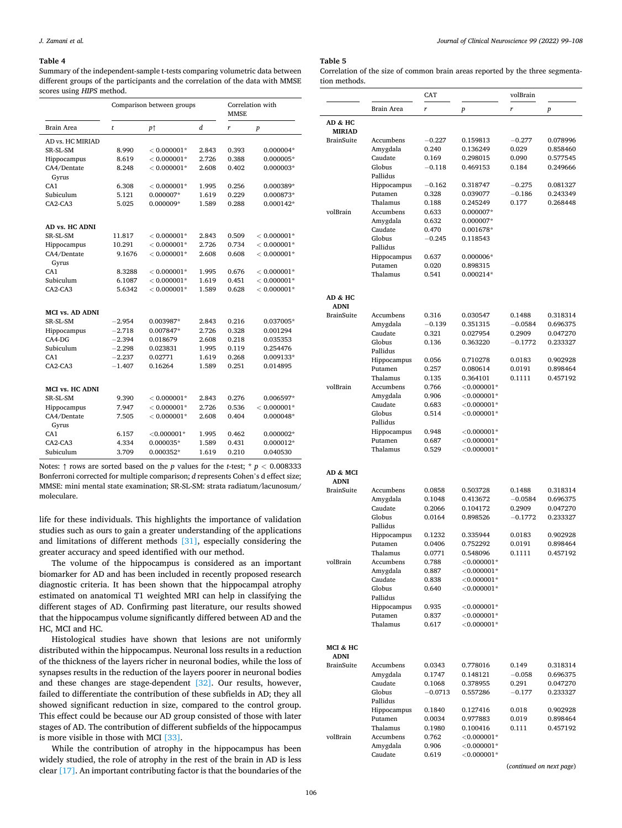#### <span id="page-7-0"></span>**Table 4**

Summary of the independent-sample t-tests comparing volumetric data between different groups of the participants and the correlation of the data with MMSE scores using *HIPS* method.

|                        | Comparison between groups |                | Correlation with<br><b>MMSE</b> |       |                  |
|------------------------|---------------------------|----------------|---------------------------------|-------|------------------|
| <b>Brain Area</b>      | t                         | p <sub>1</sub> | d                               | r     | $\boldsymbol{p}$ |
| AD vs. HC MIRIAD       |                           |                |                                 |       |                  |
| SR-SL-SM               | 8.990                     | $< 0.000001*$  | 2.843                           | 0.393 | 0.000004*        |
| Hippocampus            | 8.619                     | $< 0.000001*$  | 2.726                           | 0.388 | $0.000005*$      |
| CA4/Dentate<br>Gyrus   | 8.248                     | $< 0.000001*$  | 2.608                           | 0.402 | $0.000003*$      |
| CA1                    | 6.308                     | $< 0.000001*$  | 1.995                           | 0.256 | 0.000389*        |
| Subiculum              | 5.121                     | 0.000007*      | 1.619                           | 0.229 | 0.000873*        |
| CA2-CA3                | 5.025                     | 0.000009*      | 1.589                           | 0.288 | $0.000142*$      |
| AD vs. HC ADNI         |                           |                |                                 |       |                  |
| SR-SL-SM               | 11.817                    | $< 0.000001*$  | 2.843                           | 0.509 | $< 0.000001*$    |
| Hippocampus            | 10.291                    | $< 0.000001*$  | 2.726                           | 0.734 | $< 0.000001*$    |
| CA4/Dentate            | 9.1676                    | $< 0.000001*$  | 2.608                           | 0.608 | $< 0.000001*$    |
| Gyrus                  |                           |                |                                 |       |                  |
| CA1                    | 8.3288                    | $< 0.000001*$  | 1.995                           | 0.676 | $< 0.000001*$    |
| Subiculum              | 6.1087                    | $< 0.000001*$  | 1.619                           | 0.451 | $< 0.000001*$    |
| CA2-CA3                | 5.6342                    | $< 0.000001*$  | 1.589                           | 0.628 | $< 0.000001*$    |
| <b>MCI vs. AD ADNI</b> |                           |                |                                 |       |                  |
| SR-SL-SM               | $-2.954$                  | 0.003987*      | 2.843                           | 0.216 | 0.037005*        |
| Hippocampus            | $-2.718$                  | 0.007847*      | 2.726                           | 0.328 | 0.001294         |
| $CA4-DG$               | $-2.394$                  | 0.018679       | 2.608                           | 0.218 | 0.035353         |
| Subiculum              | $-2.298$                  | 0.023831       | 1.995                           | 0.119 | 0.254476         |
| CA <sub>1</sub>        | $-2.237$                  | 0.02771        | 1.619                           | 0.268 | 0.009133*        |
| CA2-CA3                | $-1.407$                  | 0.16264        | 1.589                           | 0.251 | 0.014895         |
| MCI vs. HC ADNI        |                           |                |                                 |       |                  |
| SR-SL-SM               | 9.390                     | $< 0.000001*$  | 2.843                           | 0.276 | 0.006597*        |
| Hippocampus            | 7.947                     | $< 0.000001*$  | 2.726                           | 0.536 | $< 0.000001*$    |
| CA4/Dentate            | 7.505                     | $< 0.000001*$  | 2.608                           | 0.404 | 0.000048*        |
| Gyrus                  |                           |                |                                 |       |                  |
| CA <sub>1</sub>        | 6.157                     | $<$ 0.000001*  | 1.995                           | 0.462 | 0.000002*        |
| CA2-CA3                | 4.334                     | $0.000035*$    | 1.589                           | 0.431 | 0.000012*        |
| Subiculum              | 3.709                     | 0.000352*      | 1.619                           | 0.210 | 0.040530         |

Notes:  $\uparrow$  rows are sorted based on the *p* values for the *t*-test; \* *p* < 0.008333 Bonferroni corrected for multiple comparison; *d* represents Cohen's d effect size; MMSE: mini mental state examination; SR-SL-SM: strata radiatum/lacunosum/ moleculare.

life for these individuals. This highlights the importance of validation studies such as ours to gain a greater understanding of the applications and limitations of different methods [\[31\]](#page-9-0), especially considering the greater accuracy and speed identified with our method.

The volume of the hippocampus is considered as an important biomarker for AD and has been included in recently proposed research diagnostic criteria. It has been shown that the hippocampal atrophy estimated on anatomical T1 weighted MRI can help in classifying the different stages of AD. Confirming past literature, our results showed that the hippocampus volume significantly differed between AD and the HC, MCI and HC.

Histological studies have shown that lesions are not uniformly distributed within the hippocampus. Neuronal loss results in a reduction of the thickness of the layers richer in neuronal bodies, while the loss of synapses results in the reduction of the layers poorer in neuronal bodies and these changes are stage-dependent [\[32\].](#page-9-0) Our results, however, failed to differentiate the contribution of these subfields in AD; they all showed significant reduction in size, compared to the control group. This effect could be because our AD group consisted of those with later stages of AD. The contribution of different subfields of the hippocampus is more visible in those with MCI [\[33\].](#page-9-0)

While the contribution of atrophy in the hippocampus has been widely studied, the role of atrophy in the rest of the brain in AD is less clear [\[17\]](#page-9-0). An important contributing factor is that the boundaries of the

# **Table 5**

Correlation of the size of common brain areas reported by the three segmentation methods.

|                   |                         | CAT              |                                  | volBrain            |                      |
|-------------------|-------------------------|------------------|----------------------------------|---------------------|----------------------|
|                   | Brain Area              | r                | p                                | r                   | p                    |
|                   |                         |                  |                                  |                     |                      |
| AD & HC           |                         |                  |                                  |                     |                      |
| <b>MIRIAD</b>     |                         |                  |                                  |                     |                      |
| <b>BrainSuite</b> | Accumbens               | $-0.227$         | 0.159813                         | $-0.277$            | 0.078996             |
|                   | Amygdala                | 0.240            | 0.136249                         | 0.029               | 0.858460             |
|                   | Caudate<br>Globus       | 0.169            | 0.298015<br>0.469153             | 0.090<br>0.184      | 0.577545             |
|                   | Pallidus                | $-0.118$         |                                  |                     | 0.249666             |
|                   | Hippocampus             | $-0.162$         | 0.318747                         | $-0.275$            | 0.081327             |
|                   | Putamen                 | 0.328            | 0.039077                         | $-0.186$            | 0.243349             |
|                   | Thalamus                | 0.188            | 0.245249                         | 0.177               | 0.268448             |
| volBrain          | Accumbens               | 0.633            | 0.000007*                        |                     |                      |
|                   | Amygdala                | 0.632            | 0.000007*                        |                     |                      |
|                   | Caudate                 | 0.470            | 0.001678*                        |                     |                      |
|                   | Globus                  | $-0.245$         | 0.118543                         |                     |                      |
|                   | Pallidus                |                  |                                  |                     |                      |
|                   | Hippocampus             | 0.637            | $0.000006*$                      |                     |                      |
|                   | Putamen                 | 0.020            | 0.898315                         |                     |                      |
|                   | Thalamus                | 0.541            | 0.000214*                        |                     |                      |
|                   |                         |                  |                                  |                     |                      |
| AD & HC           |                         |                  |                                  |                     |                      |
| <b>ADNI</b>       |                         |                  |                                  |                     |                      |
| <b>BrainSuite</b> | Accumbens               | 0.316            | 0.030547                         | 0.1488              | 0.318314             |
|                   | Amygdala                | $-0.139$         | 0.351315                         | $-0.0584$           | 0.696375             |
|                   | Caudate                 | 0.321            | 0.027954                         | 0.2909              | 0.047270             |
|                   | Globus                  | 0.136            | 0.363220                         | $-0.1772$           | 0.233327             |
|                   | Pallidus                |                  |                                  |                     |                      |
|                   | Hippocampus             | 0.056            | 0.710278                         | 0.0183              | 0.902928             |
|                   | Putamen                 | 0.257            | 0.080614                         | 0.0191              | 0.898464             |
|                   | Thalamus                | 0.135            | 0.364101                         | 0.1111              | 0.457192             |
| volBrain          | Accumbens               | 0.766            | ${<}0.000001*$                   |                     |                      |
|                   | Amygdala                | 0.906            | ${<}0.000001*$                   |                     |                      |
|                   | Caudate                 | 0.683            | ${<}0.000001*$                   |                     |                      |
|                   | Globus                  | 0.514            | ${<}0.000001*$                   |                     |                      |
|                   | Pallidus<br>Hippocampus | 0.948            | ${<}0.000001*$                   |                     |                      |
|                   | Putamen                 | 0.687            | ${<}0.000001*$                   |                     |                      |
|                   | Thalamus                | 0.529            | ${<}0.000001*$                   |                     |                      |
|                   |                         |                  |                                  |                     |                      |
|                   |                         |                  |                                  |                     |                      |
| AD & MCI          |                         |                  |                                  |                     |                      |
| <b>ADNI</b>       |                         |                  |                                  |                     |                      |
| <b>BrainSuite</b> | Accumbens               | 0.0858           | 0.503728<br>0.413672             | 0.1488              | 0.318314             |
|                   | Amygdala<br>Caudate     | 0.1048<br>0.2066 | 0.104172                         | $-0.0584$<br>0.2909 | 0.696375<br>0.047270 |
|                   | Globus                  | 0.0164           | 0.898526                         | $-0.1772$           | 0.233327             |
|                   | Pallidus                |                  |                                  |                     |                      |
|                   | Hippocampus             | 0.1232           | 0.335944                         | 0.0183              | 0.902928             |
|                   | Putamen                 | 0.0406           | 0.752292                         | 0.0191              | 0.898464             |
|                   | Thalamus                | 0.0771           | 0.548096                         | 0.1111              | 0.457192             |
| volBrain          | Accumbens               | 0.788            | $<$ 0.000001*                    |                     |                      |
|                   | Amygdala                | 0.887            | ${<}0.000001*$                   |                     |                      |
|                   | Caudate                 | 0.838            | $<$ 0.000001*                    |                     |                      |
|                   | Globus                  | 0.640            | ${<}0.000001*$                   |                     |                      |
|                   | Pallidus                |                  |                                  |                     |                      |
|                   | Hippocampus             | 0.935            | ${<}0.000001*$                   |                     |                      |
|                   | Putamen                 | 0.837            | ${<}0.000001*$                   |                     |                      |
|                   | Thalamus                | 0.617            | ${<}0.000001*$                   |                     |                      |
|                   |                         |                  |                                  |                     |                      |
| MCI & HC          |                         |                  |                                  |                     |                      |
| <b>ADNI</b>       |                         |                  |                                  |                     |                      |
| <b>BrainSuite</b> | Accumbens               | 0.0343           | 0.778016                         | 0.149               | 0.318314             |
|                   | Amygdala                | 0.1747           | 0.148121                         | $-0.058$            | 0.696375             |
|                   | Caudate                 | 0.1068           | 0.378955                         | 0.291               | 0.047270             |
|                   | Globus                  | $-0.0713$        | 0.557286                         | $-0.177$            | 0.233327             |
|                   | Pallidus                |                  |                                  |                     |                      |
|                   | Hippocampus             | 0.1840           | 0.127416                         | 0.018               | 0.902928             |
|                   | Putamen                 | 0.0034           | 0.977883                         | 0.019               | 0.898464             |
|                   | Thalamus                | 0.1980           | 0.100416                         | 0.111               | 0.457192             |
| volBrain          | Accumbens               | 0.762            | ${<}0.000001*$                   |                     |                      |
|                   | Amygdala<br>Caudate     | 0.906<br>0.619   | ${<}0.000001*$<br>${<}0.000001*$ |                     |                      |
|                   |                         |                  |                                  |                     |                      |

(*continued on next page*)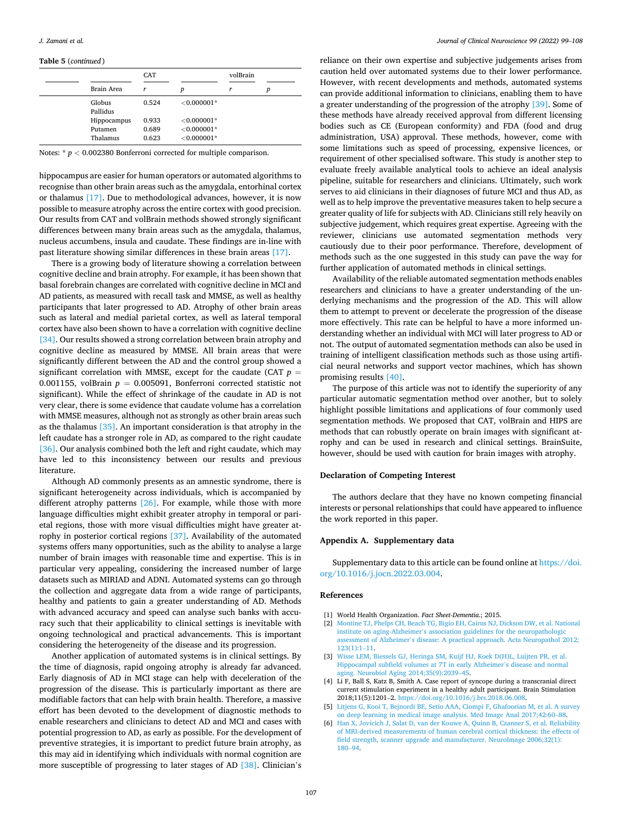#### <span id="page-8-0"></span>**Table 5** (*continued* )

|                    | <b>CAT</b> |               | volBrain |   |
|--------------------|------------|---------------|----------|---|
| Brain Area         | r          | p             | r        | p |
| Globus<br>Pallidus | 0.524      | $< 0.000001*$ |          |   |
| Hippocampus        | 0.933      | $< 0.000001*$ |          |   |
| Putamen            | 0.689      | $< 0.000001*$ |          |   |
| Thalamus           | 0.623      | $< 0.000001*$ |          |   |

Notes: \* *p <* 0.002380 Bonferroni corrected for multiple comparison.

hippocampus are easier for human operators or automated algorithms to recognise than other brain areas such as the amygdala, entorhinal cortex or thalamus [\[17\]](#page-9-0). Due to methodological advances, however, it is now possible to measure atrophy across the entire cortex with good precision. Our results from CAT and volBrain methods showed strongly significant differences between many brain areas such as the amygdala, thalamus, nucleus accumbens, insula and caudate. These findings are in-line with past literature showing similar differences in these brain areas [\[17\]](#page-9-0).

There is a growing body of literature showing a correlation between cognitive decline and brain atrophy. For example, it has been shown that basal forebrain changes are correlated with cognitive decline in MCI and AD patients, as measured with recall task and MMSE, as well as healthy participants that later progressed to AD. Atrophy of other brain areas such as lateral and medial parietal cortex, as well as lateral temporal cortex have also been shown to have a correlation with cognitive decline [\[34\]](#page-9-0). Our results showed a strong correlation between brain atrophy and cognitive decline as measured by MMSE. All brain areas that were significantly different between the AD and the control group showed a significant correlation with MMSE, except for the caudate (CAT  $p =$ 0.001155, volBrain  $p = 0.005091$ , Bonferroni corrected statistic not significant). While the effect of shrinkage of the caudate in AD is not very clear, there is some evidence that caudate volume has a correlation with MMSE measures, although not as strongly as other brain areas such as the thalamus [\[35\].](#page-9-0) An important consideration is that atrophy in the left caudate has a stronger role in AD, as compared to the right caudate [\[36\]](#page-9-0). Our analysis combined both the left and right caudate, which may have led to this inconsistency between our results and previous literature.

Although AD commonly presents as an amnestic syndrome, there is significant heterogeneity across individuals, which is accompanied by different atrophy patterns [\[26\]](#page-9-0). For example, while those with more language difficulties might exhibit greater atrophy in temporal or parietal regions, those with more visual difficulties might have greater atrophy in posterior cortical regions [\[37\].](#page-9-0) Availability of the automated systems offers many opportunities, such as the ability to analyse a large number of brain images with reasonable time and expertise. This is in particular very appealing, considering the increased number of large datasets such as MIRIAD and ADNI. Automated systems can go through the collection and aggregate data from a wide range of participants, healthy and patients to gain a greater understanding of AD. Methods with advanced accuracy and speed can analyse such banks with accuracy such that their applicability to clinical settings is inevitable with ongoing technological and practical advancements. This is important considering the heterogeneity of the disease and its progression.

Another application of automated systems is in clinical settings. By the time of diagnosis, rapid ongoing atrophy is already far advanced. Early diagnosis of AD in MCI stage can help with deceleration of the progression of the disease. This is particularly important as there are modifiable factors that can help with brain health. Therefore, a massive effort has been devoted to the development of diagnostic methods to enable researchers and clinicians to detect AD and MCI and cases with potential progression to AD, as early as possible. For the development of preventive strategies, it is important to predict future brain atrophy, as this may aid in identifying which individuals with normal cognition are more susceptible of progressing to later stages of AD [\[38\]](#page-9-0). Clinician's

reliance on their own expertise and subjective judgements arises from caution held over automated systems due to their lower performance. However, with recent developments and methods, automated systems can provide additional information to clinicians, enabling them to have a greater understanding of the progression of the atrophy [\[39\]](#page-9-0). Some of these methods have already received approval from different licensing bodies such as CE (European conformity) and FDA (food and drug administration, USA) approval. These methods, however, come with some limitations such as speed of processing, expensive licences, or requirement of other specialised software. This study is another step to evaluate freely available analytical tools to achieve an ideal analysis pipeline, suitable for researchers and clinicians. Ultimately, such work serves to aid clinicians in their diagnoses of future MCI and thus AD, as well as to help improve the preventative measures taken to help secure a greater quality of life for subjects with AD. Clinicians still rely heavily on subjective judgement, which requires great expertise. Agreeing with the reviewer, clinicians use automated segmentation methods very cautiously due to their poor performance. Therefore, development of methods such as the one suggested in this study can pave the way for further application of automated methods in clinical settings.

Availability of the reliable automated segmentation methods enables researchers and clinicians to have a greater understanding of the underlying mechanisms and the progression of the AD. This will allow them to attempt to prevent or decelerate the progression of the disease more effectively. This rate can be helpful to have a more informed understanding whether an individual with MCI will later progress to AD or not. The output of automated segmentation methods can also be used in training of intelligent classification methods such as those using artificial neural networks and support vector machines, which has shown promising results [\[40\]](#page-9-0).

The purpose of this article was not to identify the superiority of any particular automatic segmentation method over another, but to solely highlight possible limitations and applications of four commonly used segmentation methods. We proposed that CAT, volBrain and HIPS are methods that can robustly operate on brain images with significant atrophy and can be used in research and clinical settings. BrainSuite, however, should be used with caution for brain images with atrophy.

### **Declaration of Competing Interest**

The authors declare that they have no known competing financial interests or personal relationships that could have appeared to influence the work reported in this paper.

#### **Appendix A. Supplementary data**

Supplementary data to this article can be found online at [https://doi.](https://doi.org/10.1016/j.jocn.2022.03.004)  [org/10.1016/j.jocn.2022.03.004.](https://doi.org/10.1016/j.jocn.2022.03.004)

#### **References**

- [1] World Health Organization. *Fact Sheet-Dementia*.; 2015.
- [2] [Montine TJ, Phelps CH, Beach TG, Bigio EH, Cairns NJ, Dickson DW, et al. National](http://refhub.elsevier.com/S0967-5868(22)00096-0/h0010)  institute on aging-Alzheimer'[s association guidelines for the neuropathologic](http://refhub.elsevier.com/S0967-5868(22)00096-0/h0010) assessment of Alzheimer'[s disease: A practical approach. Acta Neuropathol 2012;](http://refhub.elsevier.com/S0967-5868(22)00096-0/h0010)  [123\(1\):1](http://refhub.elsevier.com/S0967-5868(22)00096-0/h0010)–11.
- [3] [Wisse LEM, Biessels GJ, Heringa SM, Kuijf HJ, Koek D\(H\)L, Luijten PR, et al.](http://refhub.elsevier.com/S0967-5868(22)00096-0/h0015) [Hippocampal subfield volumes at 7T in early Alzheimer](http://refhub.elsevier.com/S0967-5868(22)00096-0/h0015)'s disease and normal [aging. Neurobiol Aging 2014;35\(9\):2039](http://refhub.elsevier.com/S0967-5868(22)00096-0/h0015)–45.
- [4] Li F, Ball S, Katz B, Smith A. Case report of syncope during a transcranial direct current stimulation experiment in a healthy adult participant. Brain Stimulation 2018;11(5):1201–2.<https://doi.org/10.1016/j.brs.2018.06.008>.
- [5] [Litjens G, Kooi T, Bejnordi BE, Setio AAA, Ciompi F, Ghafoorian M, et al. A survey](http://refhub.elsevier.com/S0967-5868(22)00096-0/h0025)  [on deep learning in medical image analysis. Med Image Anal 2017;42:60](http://refhub.elsevier.com/S0967-5868(22)00096-0/h0025)–88.
- [6] [Han X, Jovicich J, Salat D, van der Kouwe A, Quinn B, Czanner S, et al. Reliability](http://refhub.elsevier.com/S0967-5868(22)00096-0/h0030)  [of MRI-derived measurements of human cerebral cortical thickness: the effects of](http://refhub.elsevier.com/S0967-5868(22)00096-0/h0030)  [field strength, scanner upgrade and manufacturer. NeuroImage 2006;32\(1\):](http://refhub.elsevier.com/S0967-5868(22)00096-0/h0030) [180](http://refhub.elsevier.com/S0967-5868(22)00096-0/h0030)–94.